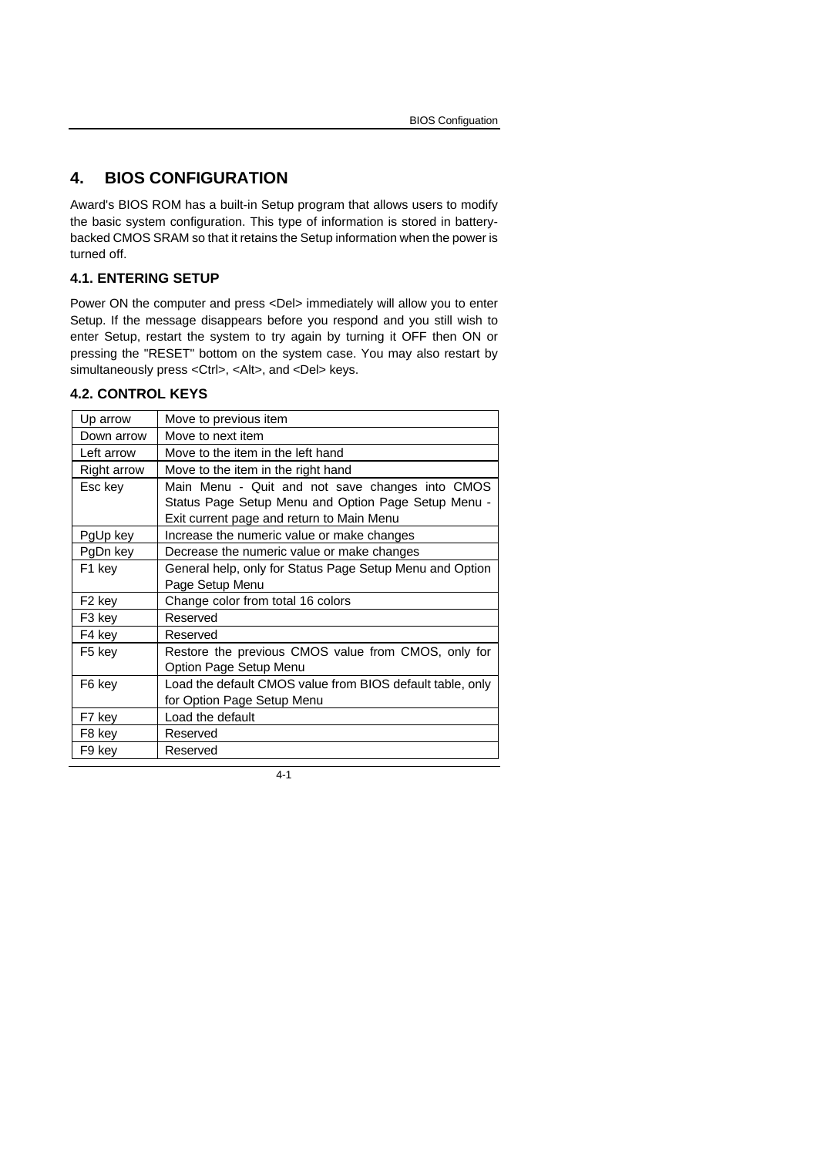# **4. BIOS CONFIGURATION**

Award's BIOS ROM has a built-in Setup program that allows users to modify the basic system configuration. This type of information is stored in batterybacked CMOS SRAM so that it retains the Setup information when the power is turned off.

## **4.1. ENTERING SETUP**

Power ON the computer and press <Del> immediately will allow you to enter Setup. If the message disappears before you respond and you still wish to enter Setup, restart the system to try again by turning it OFF then ON or pressing the "RESET" bottom on the system case. You may also restart by simultaneously press <Ctrl>, <Alt>, and <Del> keys.

## **4.2. CONTROL KEYS**

| Up arrow           | Move to previous item                                     |
|--------------------|-----------------------------------------------------------|
| Down arrow         | Move to next item                                         |
| Left arrow         | Move to the item in the left hand                         |
| Right arrow        | Move to the item in the right hand                        |
| Esc key            | Main Menu - Quit and not save changes into CMOS           |
|                    | Status Page Setup Menu and Option Page Setup Menu -       |
|                    | Exit current page and return to Main Menu                 |
| PgUp key           | Increase the numeric value or make changes                |
| PgDn key           | Decrease the numeric value or make changes                |
| F1 key             | General help, only for Status Page Setup Menu and Option  |
|                    | Page Setup Menu                                           |
| F <sub>2</sub> key | Change color from total 16 colors                         |
| F3 key             | Reserved                                                  |
| F4 key             | Reserved                                                  |
| F5 kev             | Restore the previous CMOS value from CMOS, only for       |
|                    | Option Page Setup Menu                                    |
| F6 key             | Load the default CMOS value from BIOS default table, only |
|                    | for Option Page Setup Menu                                |
| F7 key             | Load the default                                          |
| F8 key             | Reserved                                                  |
| F9 key             | Reserved                                                  |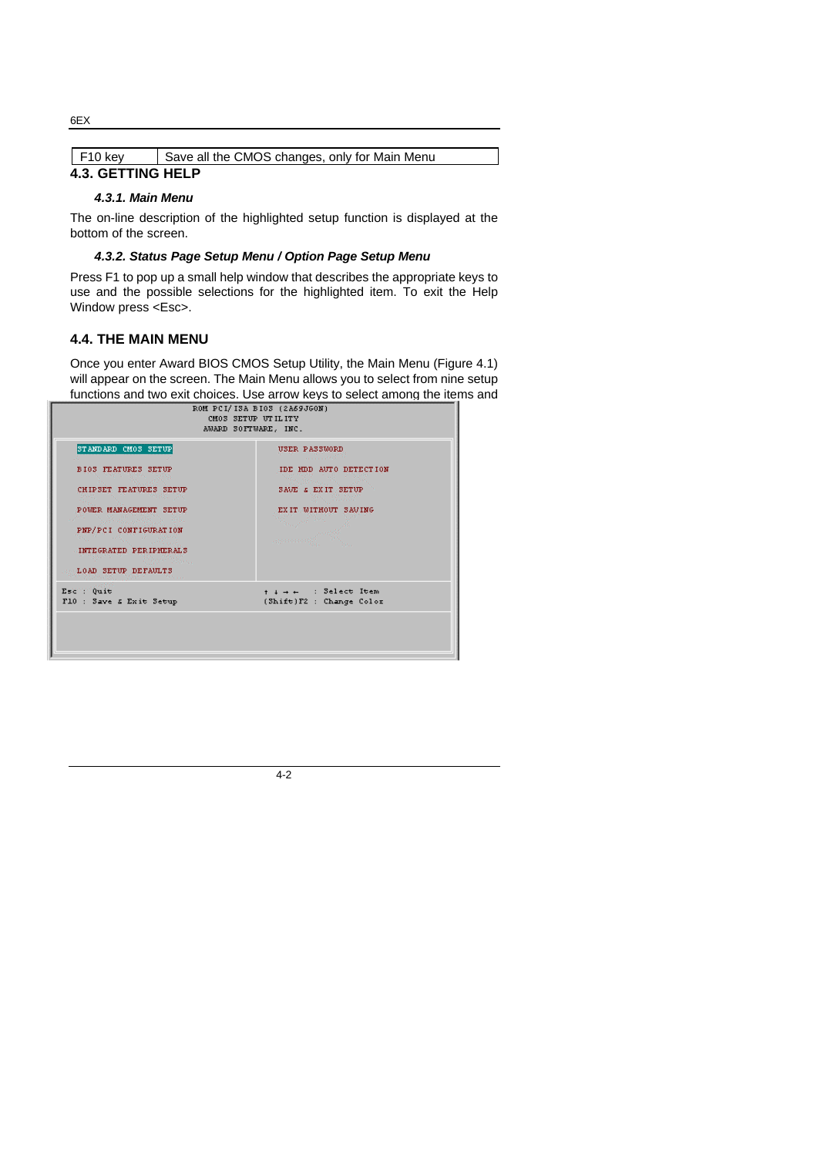| $F10$ key | Save all the CMOS changes, only for Main Menu |
|-----------|-----------------------------------------------|

# **4.3. GETTING HELP**

#### *4.3.1. Main Menu*

The on-line description of the highlighted setup function is displayed at the bottom of the screen.

#### *4.3.2. Status Page Setup Menu / Option Page Setup Menu*

Press F1 to pop up a small help window that describes the appropriate keys to use and the possible selections for the highlighted item. To exit the Help Window press <Esc>.

### **4.4. THE MAIN MENU**

Once you enter Award BIOS CMOS Setup Utility, the Main Menu (Figure 4.1) will appear on the screen. The Main Menu allows you to select from nine setup functions and two exit choices. Use arrow keys to select among the items and

| ROM PCI/ISA BIOS (2A69JGON)<br>CM03 SETUP UTILITY<br>AWARD SOFTWARE, INC. |                                       |  |
|---------------------------------------------------------------------------|---------------------------------------|--|
| STANDARD CMOS SETUP                                                       | USER PASSWORD                         |  |
| <b>BIOS FEATURES SETUP</b>                                                | <b>Contract Construction Contract</b> |  |
| CHIPSET FEATURES SETUP                                                    | IDE HDD AUTO DETECTION                |  |
| the production of the                                                     | the Street                            |  |
| POWER MANAGEMENT SETUP                                                    | SAVE & EXIT SETUP                     |  |
| PNP/PCI CONFIGURATION                                                     | Albert Monday                         |  |
| INTEGRATED PERIPHERAL'S                                                   | EXIT MITHOUT SAVING                   |  |
| an Tabunu                                                                 | <b>Country</b>                        |  |
| <b>MALOAD SETUP DEFAULTS</b>                                              |                                       |  |
| <b>Mariana</b>                                                            | <b>STATISTICS</b>                     |  |
| Ese Tuit                                                                  | $+$ $+$ $+$ $+$ $+$ Select Item       |  |
| F10 : Save & Exit Setup                                                   | (Shift)F2 : Change Color              |  |

4-2

#### 6EX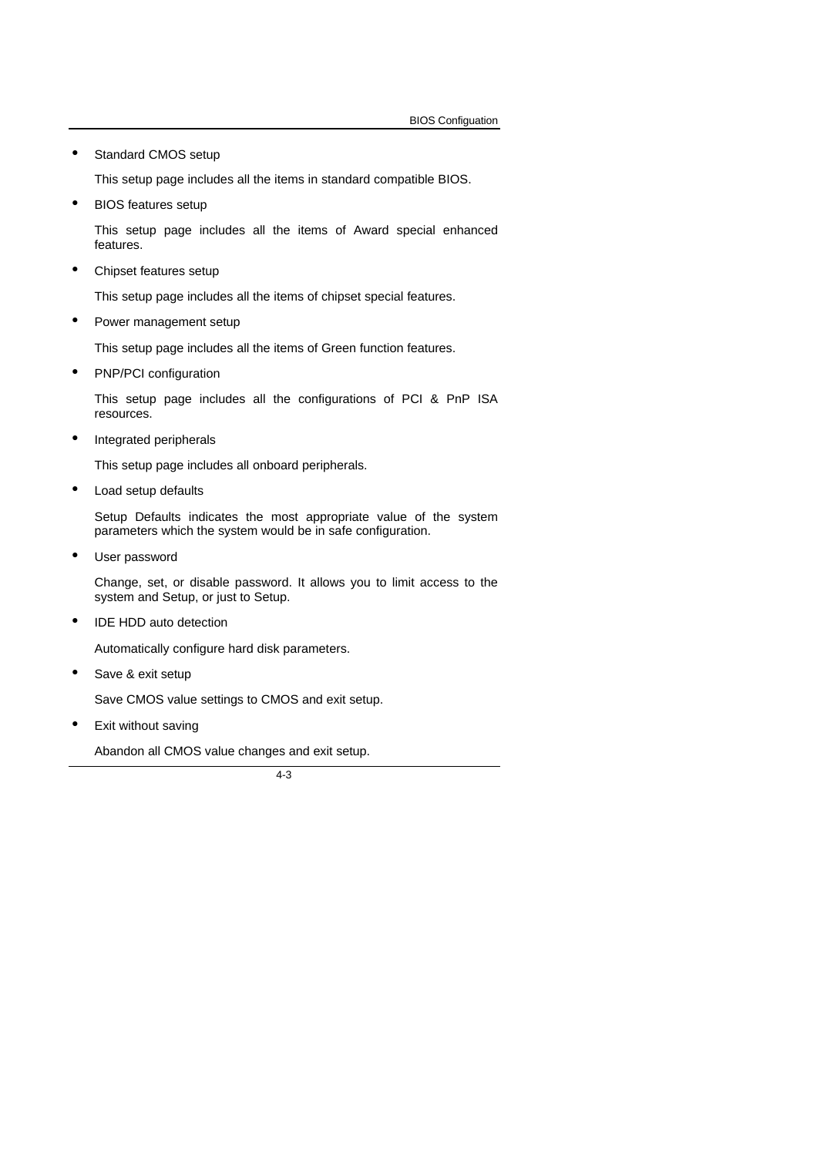Standard CMOS setup

This setup page includes all the items in standard compatible BIOS.

• BIOS features setup

This setup page includes all the items of Award special enhanced features.

• Chipset features setup

This setup page includes all the items of chipset special features.

Power management setup

This setup page includes all the items of Green function features.

• PNP/PCI configuration

This setup page includes all the configurations of PCI & PnP ISA resources.

• Integrated peripherals

This setup page includes all onboard peripherals.

• Load setup defaults

Setup Defaults indicates the most appropriate value of the system parameters which the system would be in safe configuration.

User password

Change, set, or disable password. It allows you to limit access to the system and Setup, or just to Setup.

• IDE HDD auto detection

Automatically configure hard disk parameters.

• Save & exit setup

Save CMOS value settings to CMOS and exit setup.

• Exit without saving

Abandon all CMOS value changes and exit setup.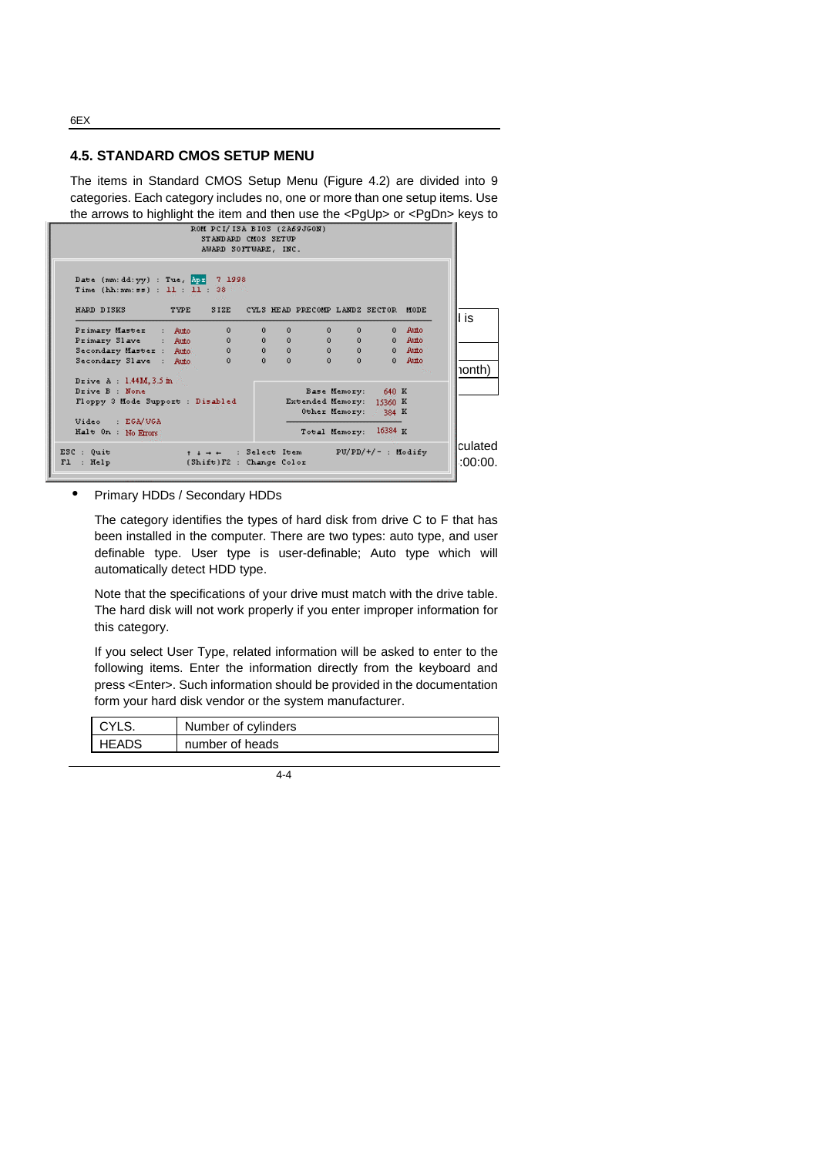**4.5. STANDARD CMOS SETUP MENU**

The items in Standard CMOS Setup Menu (Figure 4.2) are divided into 9 categories. Each category includes no, one or more than one setup items. Use the arrows to highlight the item and then use the <PgUp> or <PgDn> keys to

| Date (mm: dd: yy) : Tue, 2pr 7 1998                          |      | ROM PCI/ISA BIOS (2A69JGON)<br>STANDARD CM0S SETUP<br>AWARD SOFTWARE, INC. |              |              |                                          |              |              |            |                     |
|--------------------------------------------------------------|------|----------------------------------------------------------------------------|--------------|--------------|------------------------------------------|--------------|--------------|------------|---------------------|
| Time $(hh;mm;ss)$ : 11 : 11 : 38 $\frac{1}{2}$<br>HARD DISKS | TYPE | S. Charles                                                                 |              |              | SIZE CYLS HEAD PRECOMP LANDZ SECTOR MODE |              |              |            |                     |
| Primary Master : Auto                                        |      | $\Omega$                                                                   | $\mathbf{0}$ | $\Omega$     | 0                                        | $\Omega$     | $\mathbf{0}$ | Auto       | l is                |
| Primary Slave : Auto                                         |      | $\mathbf{0}$                                                               | 0            | $\Omega$     | $0 \qquad \qquad$                        | $\mathbf{0}$ |              | 0 Auto     |                     |
| Secondary Master : Auto.                                     |      | 0                                                                          |              | $0 \qquad 0$ | $0$ and $\sim$                           | 0            |              | $0$ $Auto$ |                     |
| Secondary Slave : Auto                                       |      | $\Omega$                                                                   | $\mathbf{a}$ | $\Omega$     | $\Omega$                                 | n            | $\mathbf{0}$ | Airto      | ionth)              |
| Drive $A : 1.44M, 3.5m$                                      |      |                                                                            |              |              |                                          |              |              | Dec.       |                     |
| Drive B : None                                               |      |                                                                            |              |              | Base Memory: 640 K                       |              |              |            |                     |
| Floppy 3 Mode Support : Disabled                             |      |                                                                            |              |              | Extended Memory: 15360 K                 |              |              |            |                     |
|                                                              |      |                                                                            |              |              | Other Memory: 384 K                      |              |              |            |                     |
| Video : EGA/VGA                                              |      |                                                                            |              |              |                                          |              |              |            |                     |
| Halt On : No Errors                                          |      |                                                                            |              |              | Total Memory: 16384 K                    |              |              |            |                     |
| ESC : Quit<br>: $Help$<br>F1                                 |      | $+ + +$ : Select Item PU/PD/+/- : Modify<br>(Shift)F2 : Change Color       |              |              |                                          |              |              |            | lculated<br>:00:00. |

• Primary HDDs / Secondary HDDs

The category identifies the types of hard disk from drive C to F that has been installed in the computer. There are two types: auto type, and user definable type. User type is user-definable; Auto type which will automatically detect HDD type.

Note that the specifications of your drive must match with the drive table. The hard disk will not work properly if you enter improper information for this category.

If you select User Type, related information will be asked to enter to the following items. Enter the information directly from the keyboard and press <Enter>. Such information should be provided in the documentation form your hard disk vendor or the system manufacturer.

| l CVI S | Number of cylinders |
|---------|---------------------|
| HEADS   | number of heads     |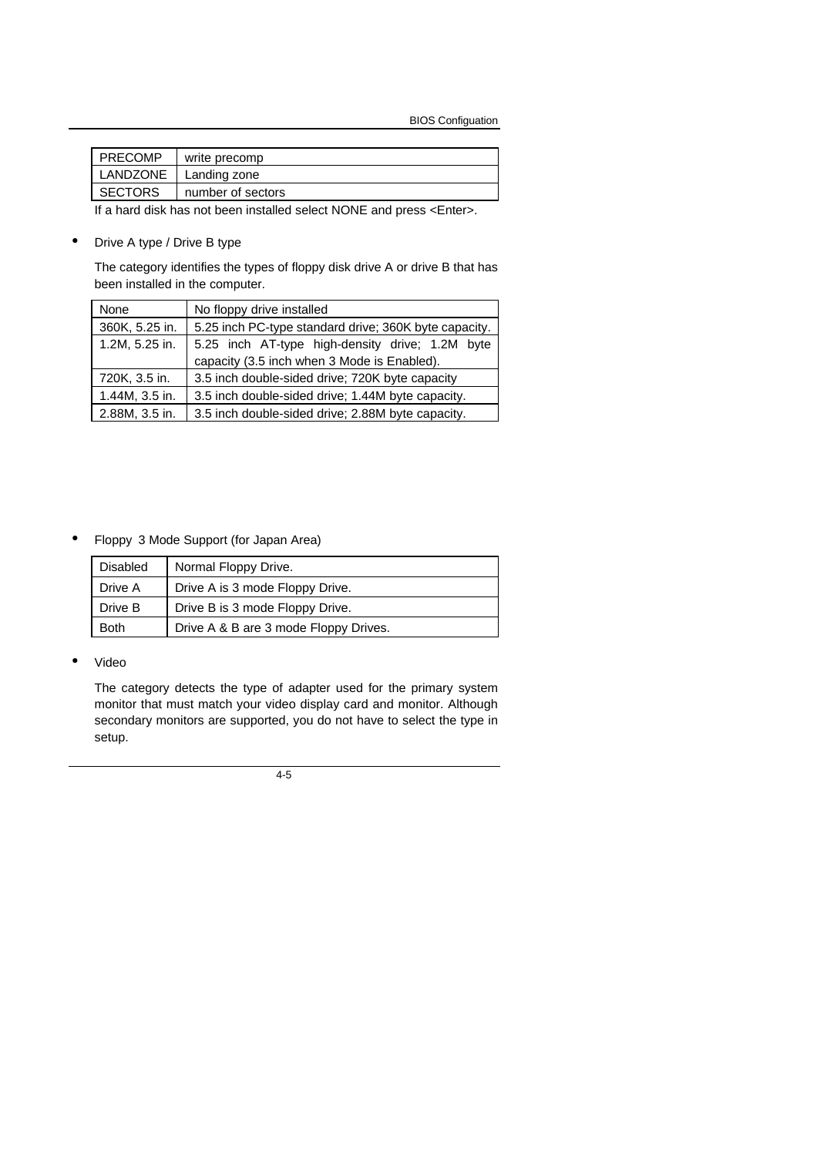BIOS Configuation

| <b>PRECOMP</b> | write precomp     |
|----------------|-------------------|
| LANDZONE       | Landing zone      |
| <b>SECTORS</b> | number of sectors |

If a hard disk has not been installed select NONE and press <Enter>.

• Drive A type / Drive B type

The category identifies the types of floppy disk drive A or drive B that has been installed in the computer.

| None           | No floppy drive installed                             |
|----------------|-------------------------------------------------------|
| 360K, 5.25 in. | 5.25 inch PC-type standard drive; 360K byte capacity. |
| 1.2M, 5.25 in. | 5.25 inch AT-type high-density drive; 1.2M byte       |
|                | capacity (3.5 inch when 3 Mode is Enabled).           |
| 720K, 3.5 in.  | 3.5 inch double-sided drive; 720K byte capacity       |
| 1.44M, 3.5 in. | 3.5 inch double-sided drive; 1.44M byte capacity.     |
| 2.88M, 3.5 in. | 3.5 inch double-sided drive; 2.88M byte capacity.     |

• Floppy 3 Mode Support (for Japan Area)

| <b>Disabled</b> | Normal Floppy Drive.                  |
|-----------------|---------------------------------------|
| Drive A         | Drive A is 3 mode Floppy Drive.       |
| Drive B         | Drive B is 3 mode Floppy Drive.       |
| <b>Both</b>     | Drive A & B are 3 mode Floppy Drives. |

• Video

The category detects the type of adapter used for the primary system monitor that must match your video display card and monitor. Although secondary monitors are supported, you do not have to select the type in setup.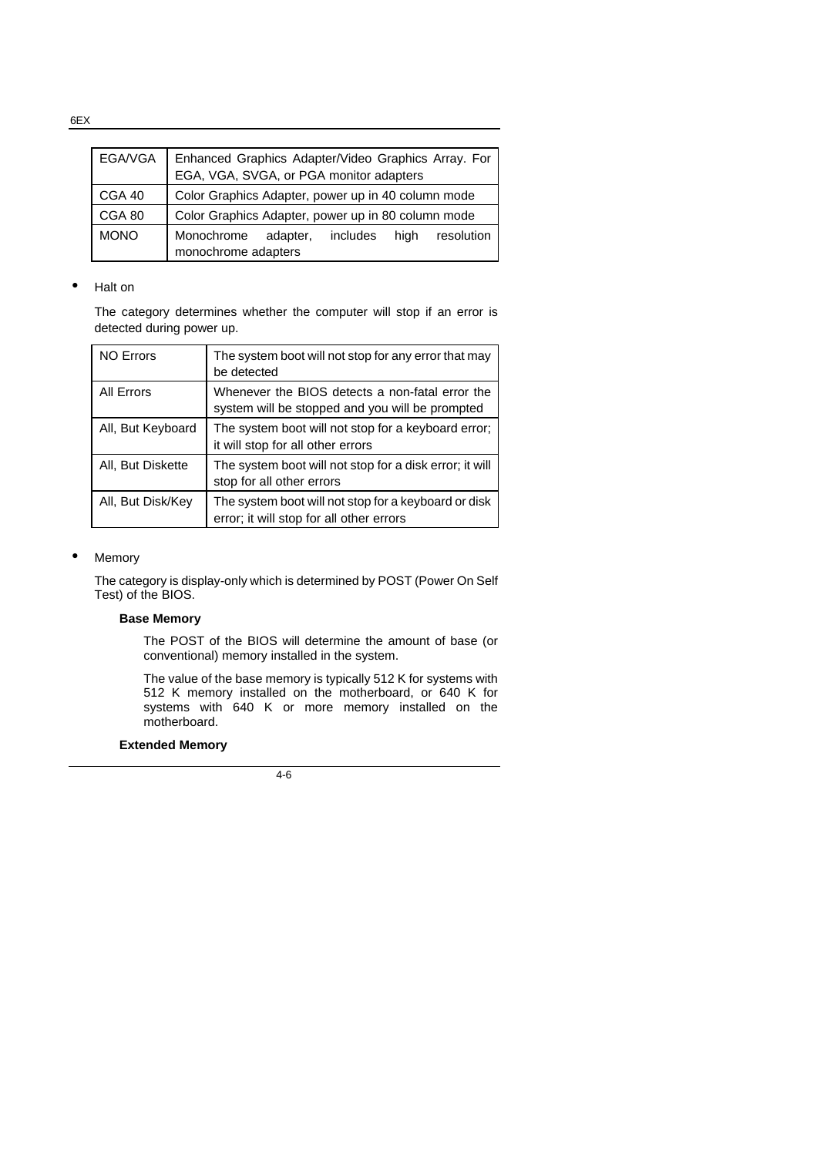EGA/VGA | Enhanced Graphics Adapter/Video Graphics Array. For EGA, VGA, SVGA, or PGA monitor adapters CGA 40 Color Graphics Adapter, power up in 40 column mode CGA 80 Color Graphics Adapter, power up in 80 column mode MONO Monochrome adapter, includes high resolution monochrome adapters

### • Halt on

The category determines whether the computer will stop if an error is detected during power up.

| <b>NO Errors</b>  | The system boot will not stop for any error that may<br>be detected                                |
|-------------------|----------------------------------------------------------------------------------------------------|
| <b>All Errors</b> | Whenever the BIOS detects a non-fatal error the<br>system will be stopped and you will be prompted |
| All, But Keyboard | The system boot will not stop for a keyboard error;<br>it will stop for all other errors           |
| All, But Diskette | The system boot will not stop for a disk error; it will<br>stop for all other errors               |
| All, But Disk/Key | The system boot will not stop for a keyboard or disk<br>error; it will stop for all other errors   |

#### **Memory**

The category is display-only which is determined by POST (Power On Self Test) of the BIOS.

#### **Base Memory**

The POST of the BIOS will determine the amount of base (or conventional) memory installed in the system.

The value of the base memory is typically 512 K for systems with 512 K memory installed on the motherboard, or 640 K for systems with 640 K or more memory installed on the motherboard.

#### **Extended Memory**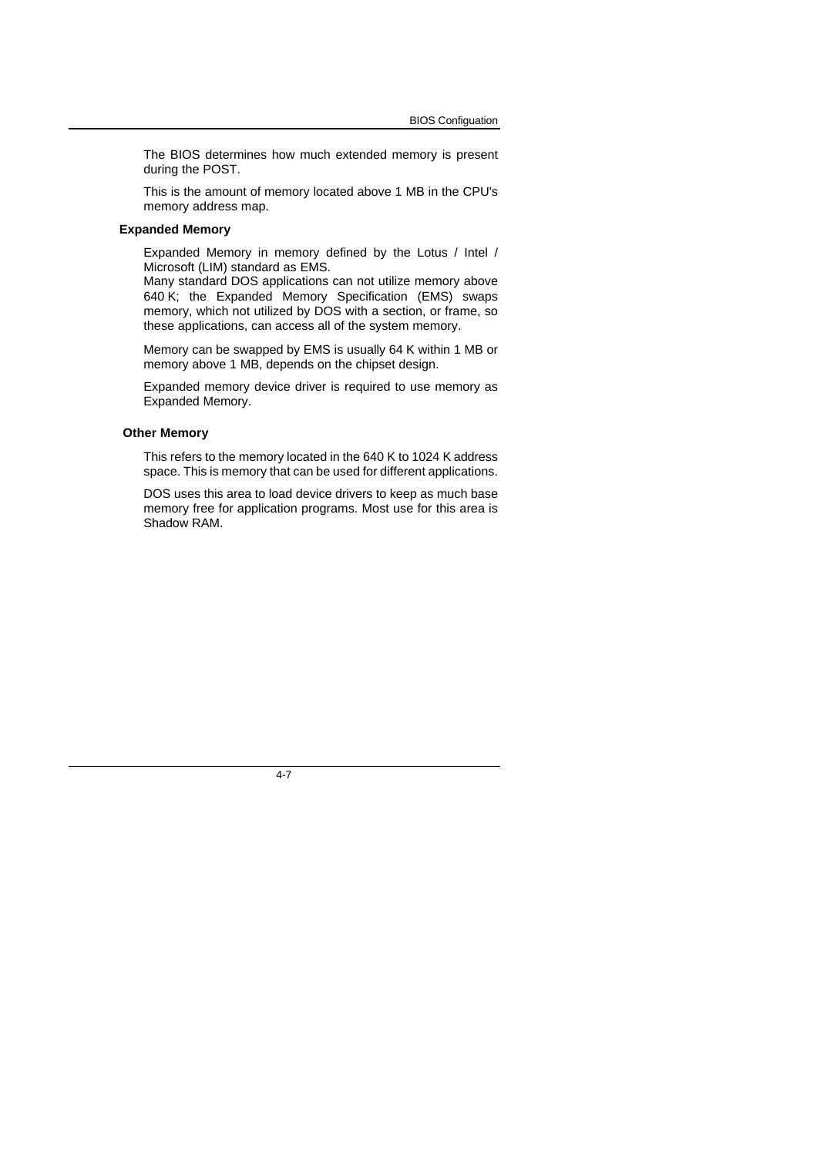The BIOS determines how much extended memory is present during the POST.

This is the amount of memory located above 1 MB in the CPU's memory address map.

#### **Expanded Memory**

Expanded Memory in memory defined by the Lotus / Intel / Microsoft (LIM) standard as EMS.

Many standard DOS applications can not utilize memory above 640 K; the Expanded Memory Specification (EMS) swaps memory, which not utilized by DOS with a section, or frame, so these applications, can access all of the system memory.

Memory can be swapped by EMS is usually 64 K within 1 MB or memory above 1 MB, depends on the chipset design.

Expanded memory device driver is required to use memory as Expanded Memory.

#### **Other Memory**

This refers to the memory located in the 640 K to 1024 K address space. This is memory that can be used for different applications.

DOS uses this area to load device drivers to keep as much base memory free for application programs. Most use for this area is Shadow RAM.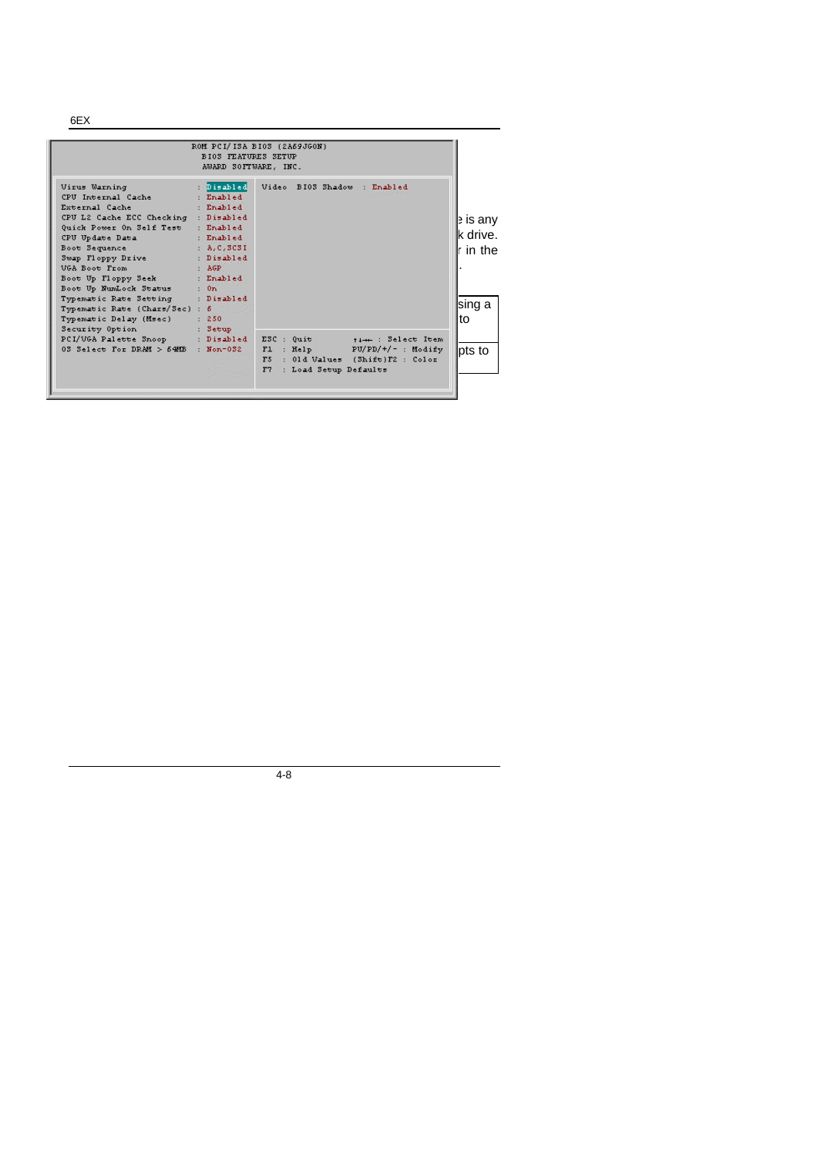6EX

|                                                                                                                                                                                                                                                                                                                                                                                                                                                       | <b>BIOS FEATURES SETUP</b><br>AWARD SOFTWARE, INC. | ROM PCI/ISA BIOS (2A69JGON)                             |                                                                             |                                                     |
|-------------------------------------------------------------------------------------------------------------------------------------------------------------------------------------------------------------------------------------------------------------------------------------------------------------------------------------------------------------------------------------------------------------------------------------------------------|----------------------------------------------------|---------------------------------------------------------|-----------------------------------------------------------------------------|-----------------------------------------------------|
| Virus Warning<br>CPU Internal Cache<br>External Cache<br>CPU L2 Cache ECC Checking : Disabled<br>Ouick Power On Self Test : Enabled<br>CPU Update Data<br>Boot Sequence : A, C, SCSI<br>Swap Floppy Drive<br>VGA Boot From<br><b>AGRICATE AGRIC</b><br>Boot Up Floppy Seek : Enabled<br>Boot Up NumLock Status : On<br>Typematic Rate Setting : Disabled<br>Typematic Rate (Chars/Sec) : 6<br>Typematic Delay (Msec) : 250<br>Security Option : Setup | : Enabled<br>Enabled<br>Enabled<br>: Disabled      | : Disabled Video BI03 Shadow : Enabled                  |                                                                             | e is any<br>lk drive.<br>r in the<br>lsing a<br>lto |
| PCI/VGA Palette Snoop : Disabled ESC : Quit<br>03 Select For DRAM > $640B$ : Non-032                                                                                                                                                                                                                                                                                                                                                                  | <sup>en s</sup> iggen.                             | Fl : Help<br>F <sub>5</sub><br>F7 : Load Setup Defaults | time: Select Item<br>$PU/PD/+/-$ : Modify<br>: 01d Values (Shift)F2 : Color | lpts to                                             |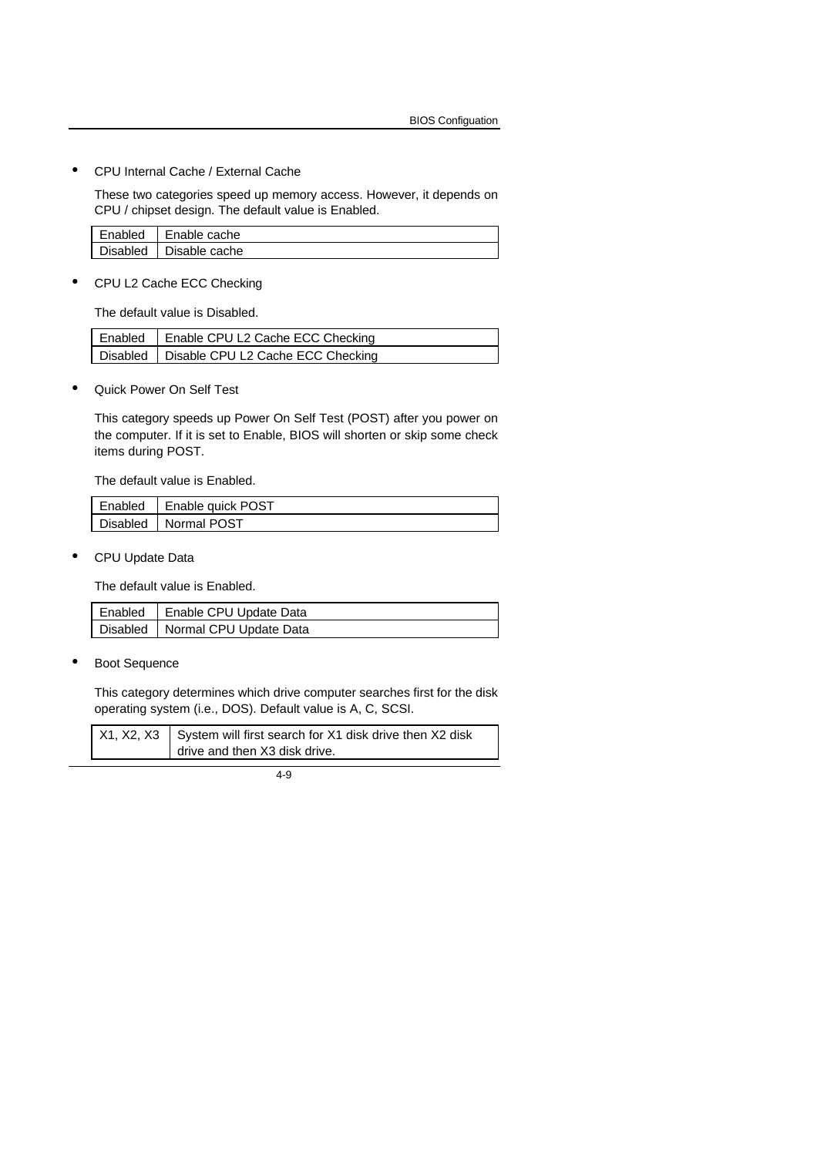• CPU Internal Cache / External Cache

These two categories speed up memory access. However, it depends on CPU / chipset design. The default value is Enabled.

| Enabled  | Enable cache      |
|----------|-------------------|
| Disabled | '   Disable cache |

• CPU L2 Cache ECC Checking

The default value is Disabled.

| Enabled   Enable CPU L2 Cache ECC Checking   |
|----------------------------------------------|
| Disabled   Disable CPU L2 Cache ECC Checking |

• Quick Power On Self Test

This category speeds up Power On Self Test (POST) after you power on the computer. If it is set to Enable, BIOS will shorten or skip some check items during POST.

The default value is Enabled.

| Enabled | Enable quick POST      |
|---------|------------------------|
|         | Disabled   Normal POST |

• CPU Update Data

The default value is Enabled.

| Enabled | Enable CPU Update Data            |
|---------|-----------------------------------|
|         | Disabled   Normal CPU Update Data |

**Boot Sequence** 

This category determines which drive computer searches first for the disk operating system (i.e., DOS). Default value is A, C, SCSI.

| $X1, X2, X3$ System will first search for X1 disk drive then X2 disk |
|----------------------------------------------------------------------|
| drive and then X3 disk drive.                                        |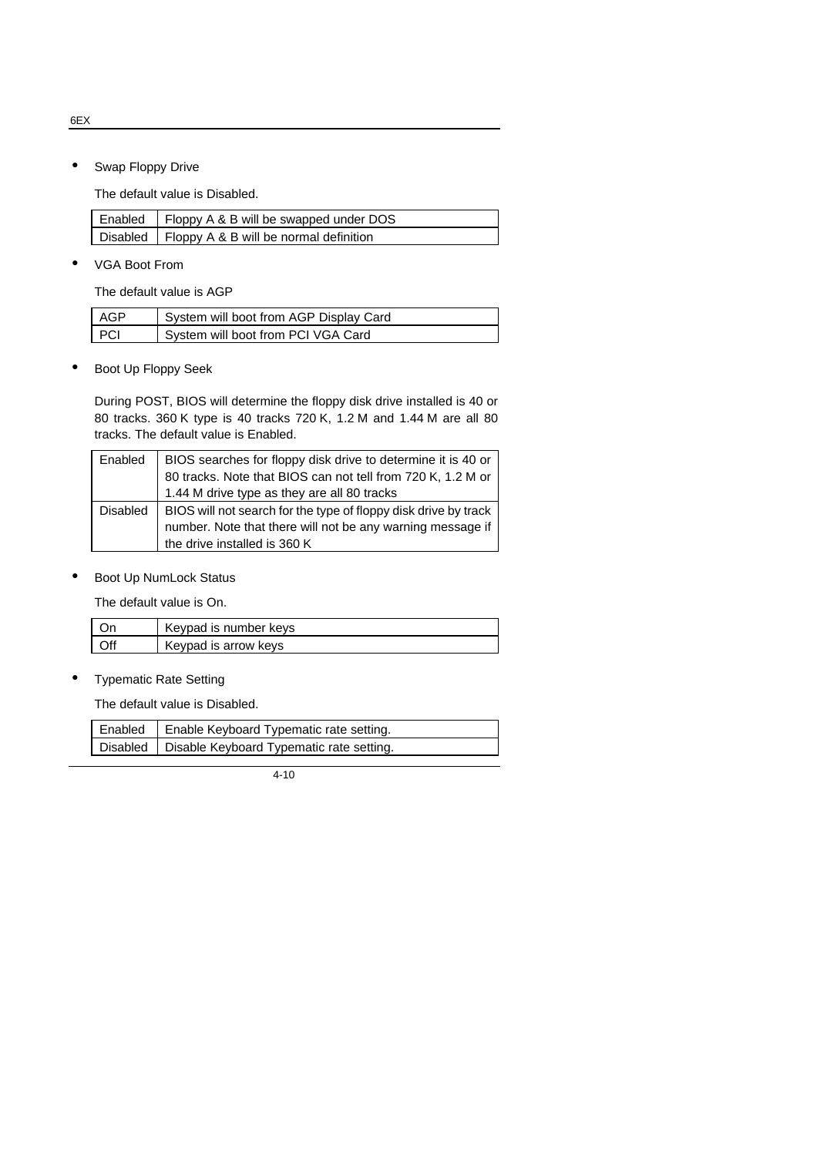6EX

• Swap Floppy Drive

The default value is Disabled.

| Enabled   Floppy A & B will be swapped under DOS  |
|---------------------------------------------------|
| Disabled   Floppy A & B will be normal definition |

• VGA Boot From

The default value is AGP

| AGP   | System will boot from AGP Display Card |
|-------|----------------------------------------|
| - PCI | System will boot from PCI VGA Card     |

• Boot Up Floppy Seek

During POST, BIOS will determine the floppy disk drive installed is 40 or 80 tracks. 360 K type is 40 tracks 720 K, 1.2 M and 1.44 M are all 80 tracks. The default value is Enabled.

| Enabled  | BIOS searches for floppy disk drive to determine it is 40 or    |
|----------|-----------------------------------------------------------------|
|          | 80 tracks. Note that BIOS can not tell from 720 K, 1.2 M or     |
|          | 1.44 M drive type as they are all 80 tracks                     |
| Disabled | BIOS will not search for the type of floppy disk drive by track |
|          | number. Note that there will not be any warning message if      |
|          | the drive installed is 360 K                                    |

• Boot Up NumLock Status

The default value is On.

|     | Keypad is number keys |
|-----|-----------------------|
| Off | Keypad is arrow keys  |

• Typematic Rate Setting

The default value is Disabled.

| Enabled   Enable Keyboard Typematic rate setting.   |
|-----------------------------------------------------|
| Disabled   Disable Keyboard Typematic rate setting. |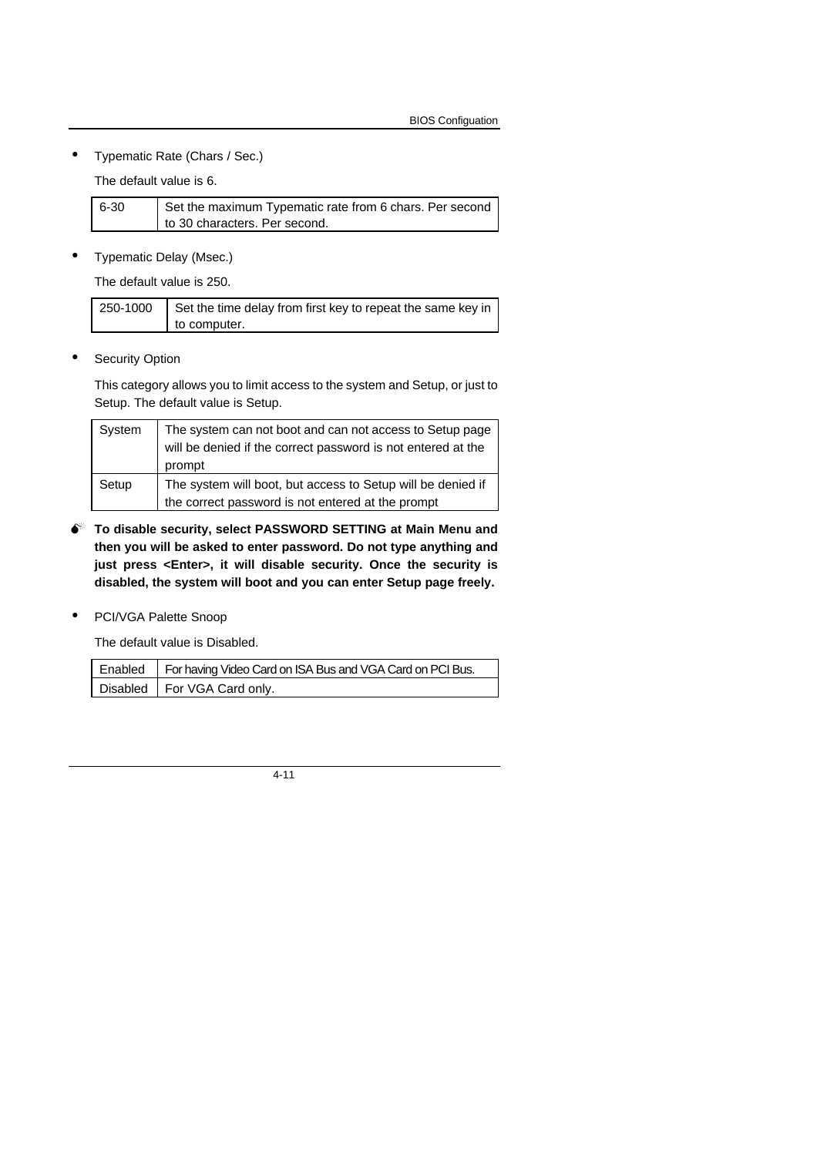• Typematic Rate (Chars / Sec.)

The default value is 6.

| $6 - 30$ | Set the maximum Typematic rate from 6 chars. Per second |
|----------|---------------------------------------------------------|
|          | to 30 characters. Per second.                           |

• Typematic Delay (Msec.)

The default value is 250.

| 250-1000 | Set the time delay from first key to repeat the same key in |
|----------|-------------------------------------------------------------|
|          | to computer.                                                |

**•** Security Option

This category allows you to limit access to the system and Setup, or just to Setup. The default value is Setup.

| System | The system can not boot and can not access to Setup page<br>will be denied if the correct password is not entered at the<br>prompt |
|--------|------------------------------------------------------------------------------------------------------------------------------------|
| Setup  | The system will boot, but access to Setup will be denied if<br>the correct password is not entered at the prompt                   |

- $\bullet^*$  To disable security, select PASSWORD SETTING at Main Menu and **then you will be asked to enter password. Do not type anything and just press <Enter>, it will disable security. Once the security is disabled, the system will boot and you can enter Setup page freely.**
- PCI/VGA Palette Snoop

The default value is Disabled.

| Enabled   For having Video Card on ISA Bus and VGA Card on PCI Bus. |
|---------------------------------------------------------------------|
| Disabled   For VGA Card only.                                       |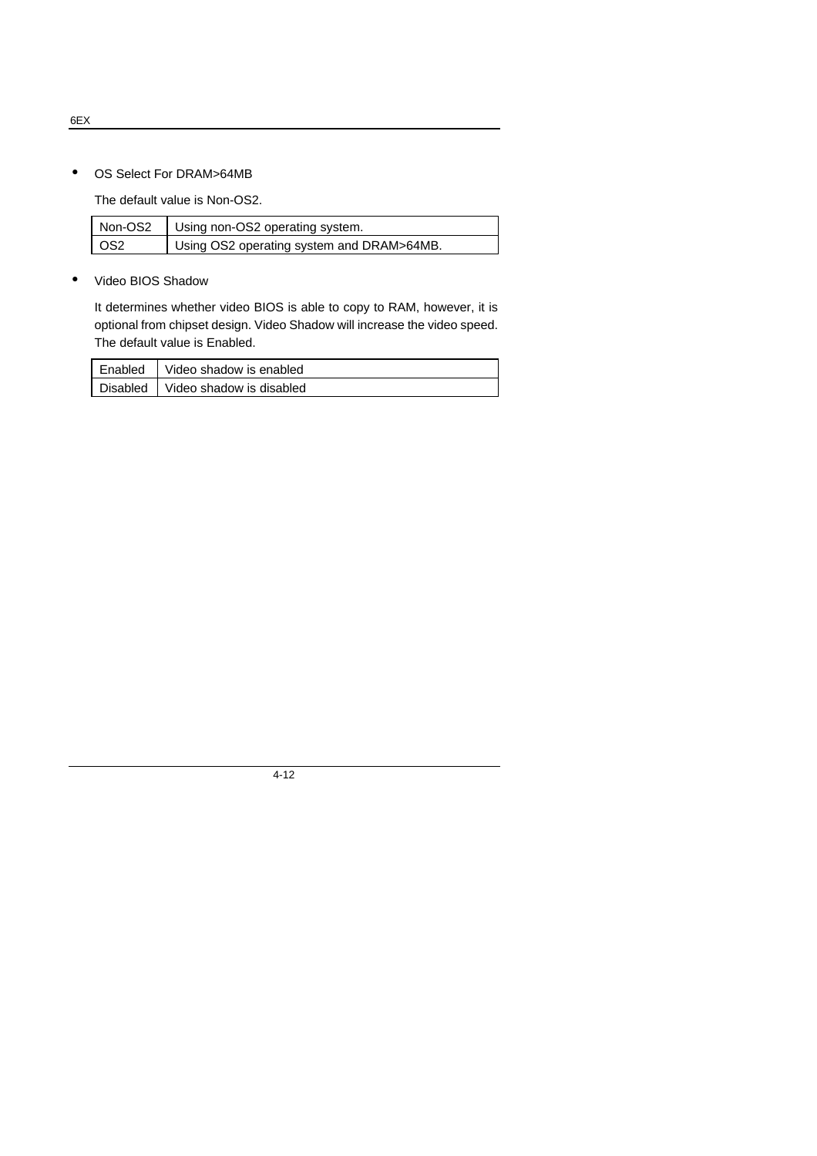• OS Select For DRAM>64MB

The default value is Non-OS2.

| Non-OS2 | Using non-OS2 operating system.           |
|---------|-------------------------------------------|
| OS2     | Using OS2 operating system and DRAM>64MB. |

• Video BIOS Shadow

It determines whether video BIOS is able to copy to RAM, however, it is optional from chipset design. Video Shadow will increase the video speed. The default value is Enabled.

| Enabled | Video shadow is enabled             |
|---------|-------------------------------------|
|         | Disabled   Video shadow is disabled |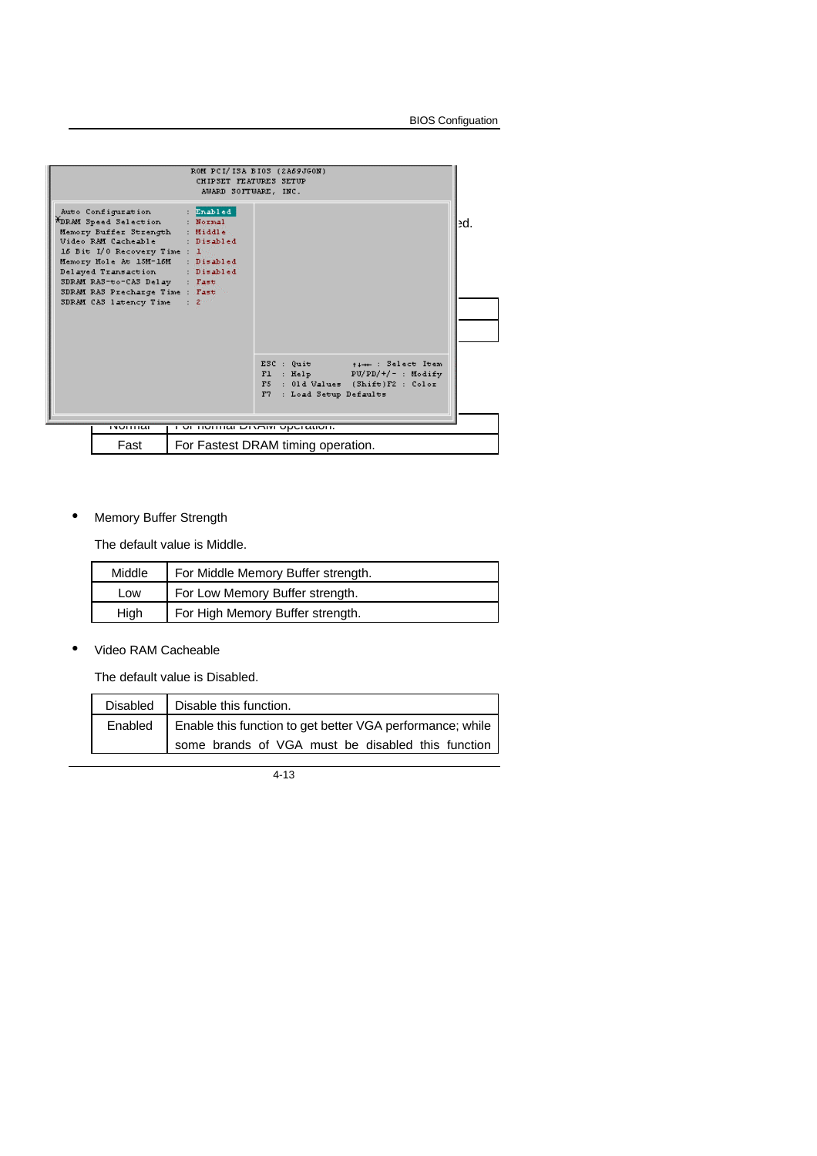

# • Memory Buffer Strength

The default value is Middle.

| Middle | For Middle Memory Buffer strength. |  |
|--------|------------------------------------|--|
| Low    | For Low Memory Buffer strength.    |  |
| High   | For High Memory Buffer strength.   |  |

#### • Video RAM Cacheable

The default value is Disabled.

| Disabled | Disable this function.                                              |  |  |
|----------|---------------------------------------------------------------------|--|--|
|          | Enabled   Enable this function to get better VGA performance; while |  |  |
|          | some brands of VGA must be disabled this function                   |  |  |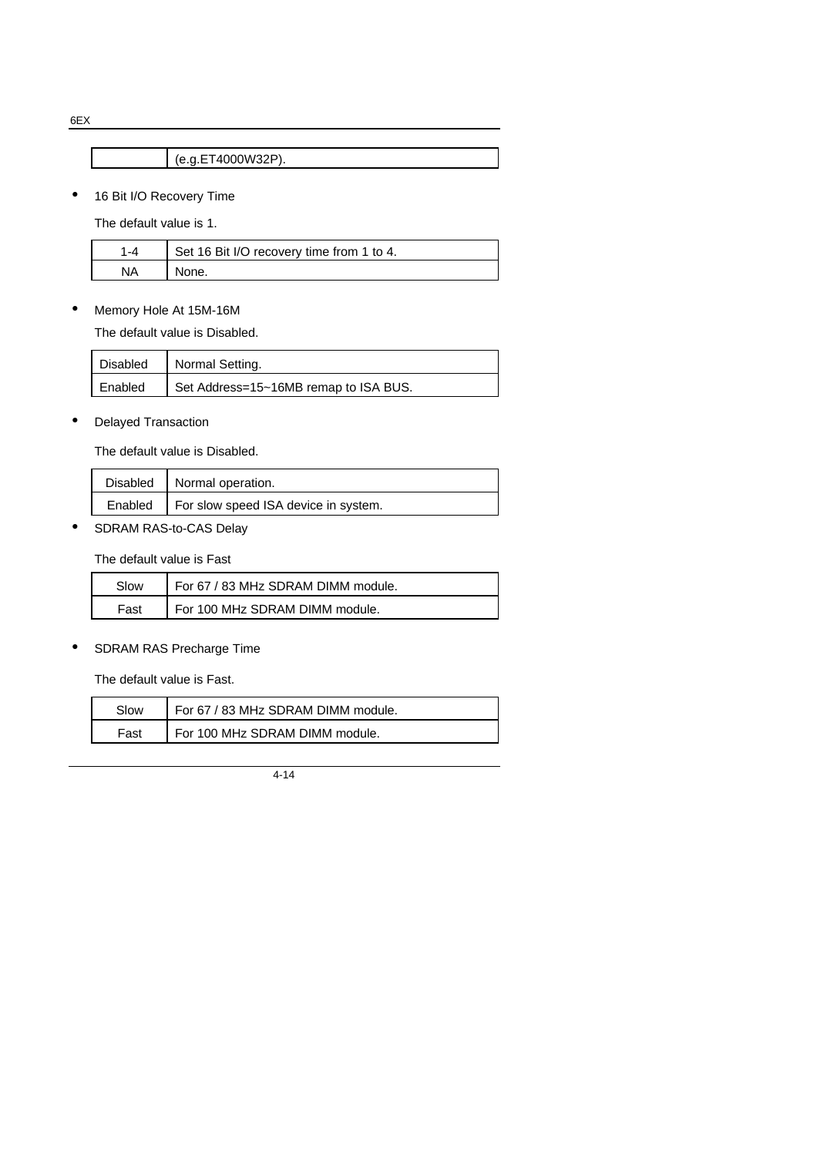6EX

(e.g.ET4000W32P).

• 16 Bit I/O Recovery Time

The default value is 1.

|    | Set 16 Bit I/O recovery time from 1 to 4. |
|----|-------------------------------------------|
| NA | None.                                     |

• Memory Hole At 15M-16M

The default value is Disabled.

| Disabled | Normal Setting.                       |
|----------|---------------------------------------|
| Enabled  | Set Address=15~16MB remap to ISA BUS. |

## • Delayed Transaction

The default value is Disabled.

| Disabled   Normal operation.                   |
|------------------------------------------------|
| Enabled   For slow speed ISA device in system. |

SDRAM RAS-to-CAS Delay

The default value is Fast

| Slow | For 67 / 83 MHz SDRAM DIMM module. |
|------|------------------------------------|
| Fast | For 100 MHz SDRAM DIMM module.     |

SDRAM RAS Precharge Time

The default value is Fast.

| Slow | For 67 / 83 MHz SDRAM DIMM module. |
|------|------------------------------------|
| Fast | For 100 MHz SDRAM DIMM module.     |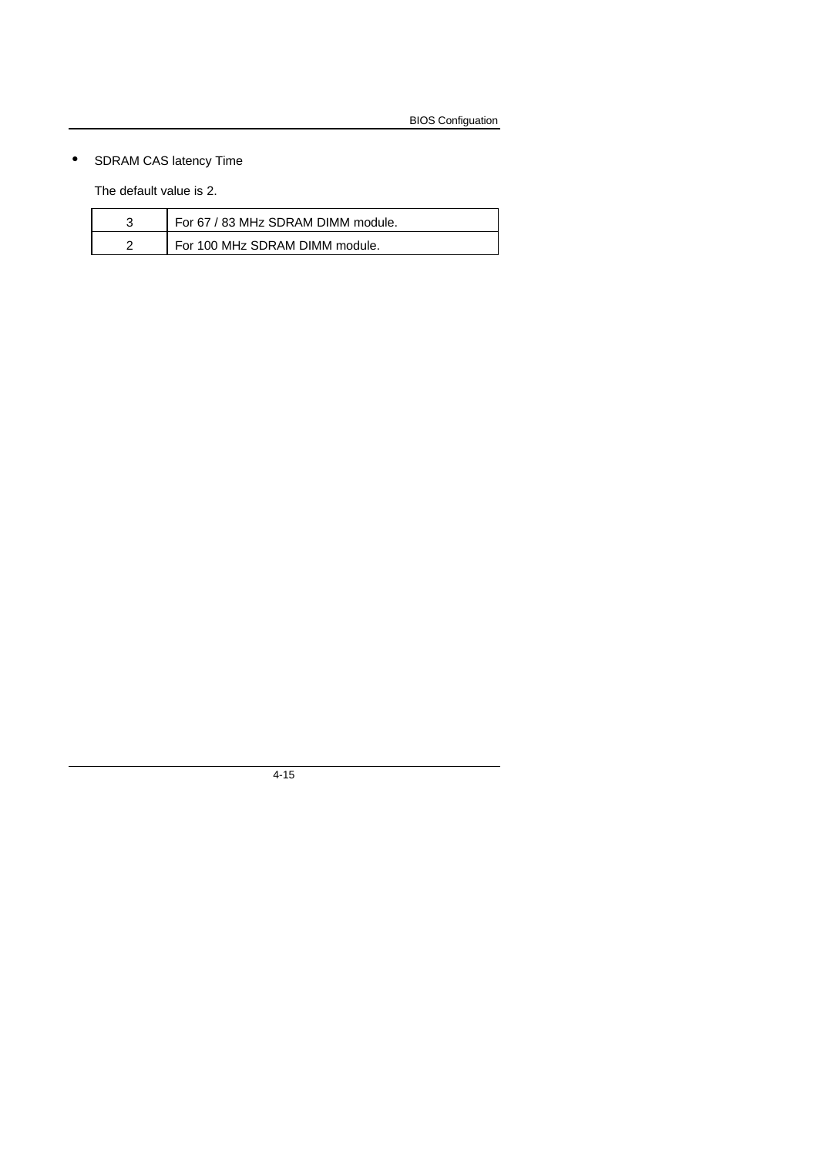# • SDRAM CAS latency Time

The default value is 2.

|   | For 67 / 83 MHz SDRAM DIMM module. |
|---|------------------------------------|
| ╭ | For 100 MHz SDRAM DIMM module.     |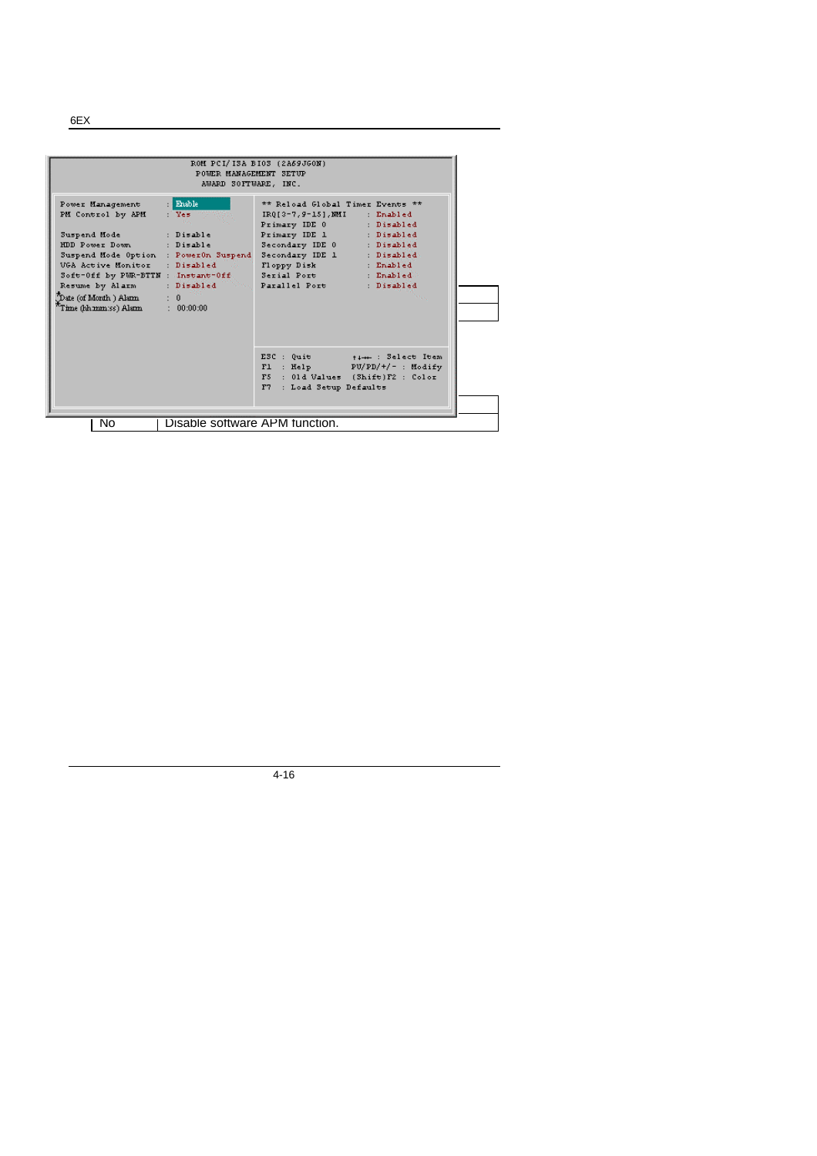|                                                                                                                                                                                                                                                                                                                | POWER MANAGEMENT SETUP<br>AWARD SOFTWARE, INC. | ROM PCI/ISA BIOS (2A69JGON)                                                                                                                                                                                                                                 |                                                                    |
|----------------------------------------------------------------------------------------------------------------------------------------------------------------------------------------------------------------------------------------------------------------------------------------------------------------|------------------------------------------------|-------------------------------------------------------------------------------------------------------------------------------------------------------------------------------------------------------------------------------------------------------------|--------------------------------------------------------------------|
| Power Management<br>PM Control by APM<br>Suspend Mode : Disable<br>HDD Power Down : Disable<br>Suspend Mode Option : PowerOn Suspend<br>UGA Active Monitor : Disabled<br>Soft-Off by PUR-BTTN : Instant-Off Serial Port : Enabled<br>Resume by Alarm<br>Date (of Month.) Alann<br>$\pi$ Time (hh.mm.:ss) Alann | Enable<br>$:$ Yes.<br>$\pm$ 0<br>: 00:00:00    | ** Reload Global Timer Events **<br>$IRQ[3-7,9-15]$ , MMI : Enabled<br>Primary IDE 0 : Disabled<br>Primary IDE 1 : Disabled<br>Secondary IDE 0 : Disabled<br>Secondary IDE 1 : Disabled<br>Floppy Disk : Enabled<br>: Disabled New Parallel Port : Disabled |                                                                    |
|                                                                                                                                                                                                                                                                                                                |                                                | F5 : 01d Values (Shift)F2 : Color<br>F7 : Load Setup Defaults                                                                                                                                                                                               | ESC : Quit $+1++$ : Select Item<br>$FL$ : Help $PU/PD/+/$ : Modify |
| No                                                                                                                                                                                                                                                                                                             | Disable software APM function.                 |                                                                                                                                                                                                                                                             |                                                                    |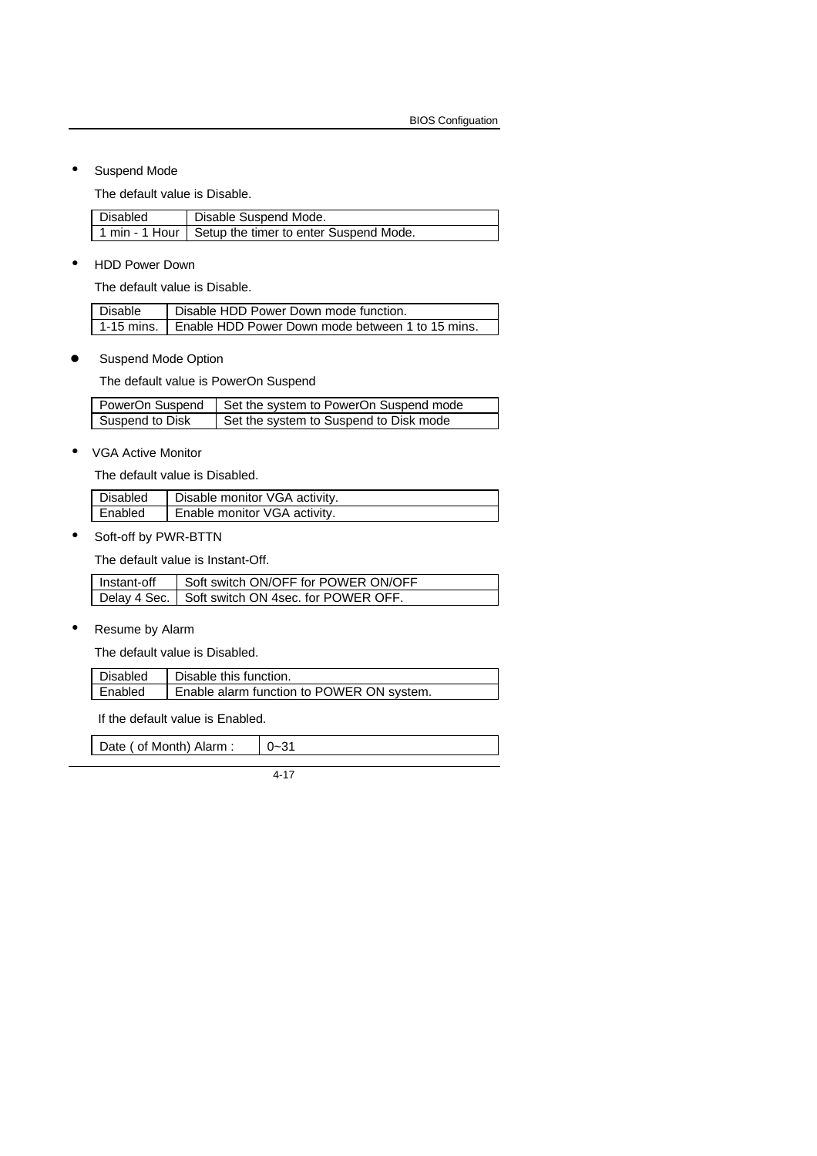• Suspend Mode

The default value is Disable.

| <b>Disabled</b> | Disable Suspend Mode.                                   |  |
|-----------------|---------------------------------------------------------|--|
|                 | 1 min - 1 Hour   Setup the timer to enter Suspend Mode. |  |

• HDD Power Down

The default value is Disable.

| Disable | Disable HDD Power Down mode function.                         |
|---------|---------------------------------------------------------------|
|         | 1-15 mins.   Enable HDD Power Down mode between 1 to 15 mins. |

**•** Suspend Mode Option

The default value is PowerOn Suspend

|                 | PowerOn Suspend   Set the system to PowerOn Suspend mode |
|-----------------|----------------------------------------------------------|
| Suspend to Disk | Set the system to Suspend to Disk mode                   |

• VGA Active Monitor

The default value is Disabled.

| Disabled | Disable monitor VGA activity. |
|----------|-------------------------------|
| Enabled  | Enable monitor VGA activity.  |

• Soft-off by PWR-BTTN

The default value is Instant-Off.

| Instant-off | Soft switch ON/OFF for POWER ON/OFF                |
|-------------|----------------------------------------------------|
|             | Delay 4 Sec.   Soft switch ON 4sec. for POWER OFF. |

• Resume by Alarm

The default value is Disabled.

| Disabled | Disable this function.                    |
|----------|-------------------------------------------|
| Enabled  | Enable alarm function to POWER ON system. |

If the default value is Enabled.

| Date ( of Month) Alarm : |  |
|--------------------------|--|
|                          |  |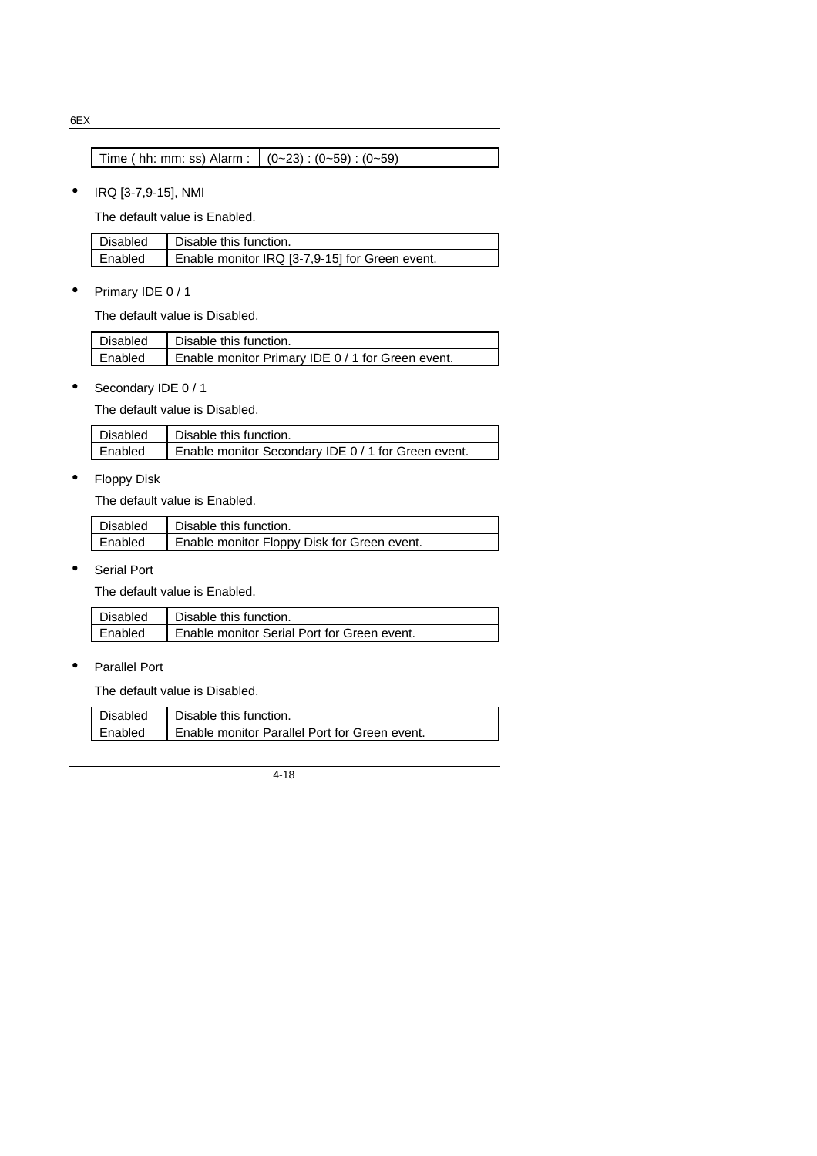6EX

| Time ( hh: mm: ss) Alarm : $ (0-23):(0-59):(0-59)$ |  |  |  |  |
|----------------------------------------------------|--|--|--|--|
|                                                    |  |  |  |  |

• IRQ [3-7,9-15], NMI

The default value is Enabled.

| Disabled | Disable this function.                         |
|----------|------------------------------------------------|
| Enabled  | Enable monitor IRQ [3-7,9-15] for Green event. |

• Primary IDE 0 / 1

The default value is Disabled.

| Disabled       | Disable this function.                            |
|----------------|---------------------------------------------------|
| <b>Enabled</b> | Enable monitor Primary IDE 0 / 1 for Green event. |

• Secondary IDE 0 / 1

The default value is Disabled.

| Disabled | Disable this function.                              |
|----------|-----------------------------------------------------|
| Enabled  | Enable monitor Secondary IDE 0 / 1 for Green event. |

• Floppy Disk

The default value is Enabled.

| Disabled       | Disable this function.                      |
|----------------|---------------------------------------------|
| <b>Enabled</b> | Enable monitor Floppy Disk for Green event. |

• Serial Port

The default value is Enabled.

| Disabled | Disable this function.                      |
|----------|---------------------------------------------|
| Enabled  | Enable monitor Serial Port for Green event. |

• Parallel Port

The default value is Disabled.

| Disabled | Disable this function.                        |
|----------|-----------------------------------------------|
| Enabled  | Enable monitor Parallel Port for Green event. |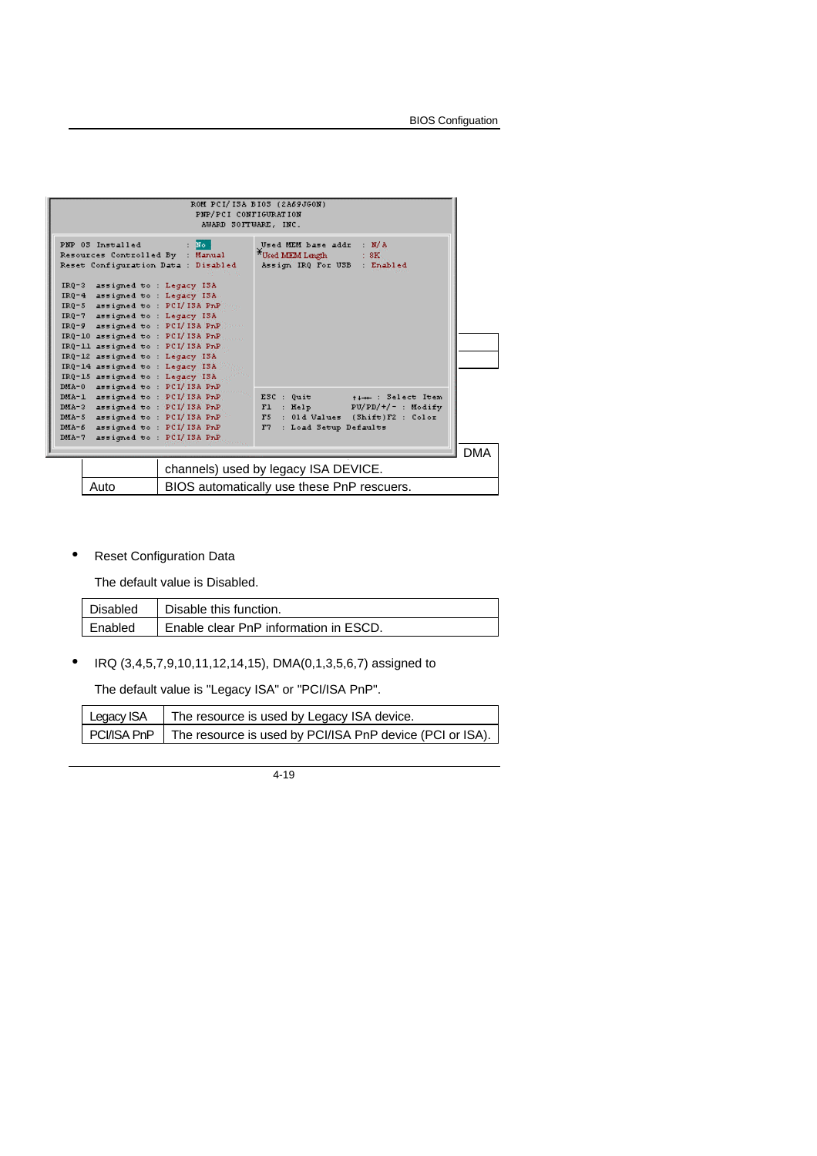|                                                                                                                                                                                                                                                                                                                                                                                                                 | ROM PCI/ISA BIOS (2A69JGON)<br>PNP/PCI CONFIGURATION<br>AWARD SOFTWARE, INC.                                                             |  |
|-----------------------------------------------------------------------------------------------------------------------------------------------------------------------------------------------------------------------------------------------------------------------------------------------------------------------------------------------------------------------------------------------------------------|------------------------------------------------------------------------------------------------------------------------------------------|--|
| PNP 03 Installed<br>Resources Controlled By : Manual<br>Reset Configuration Data : Disabled                                                                                                                                                                                                                                                                                                                     | : No<br>: M/A<br>Used MEM base addr<br>Used MEM Length<br>$\pm$ 8K.<br>Assign IRQ For USB : Enabled                                      |  |
| $IR0-3$<br>assigned to : Legacy ISA<br>$IR0-4$<br>assigned to: Legacy 13A.<br>$IRQ-5$<br>assigned to: PCI/ISA PnP Form<br>IRQ-7 assigned to: Legacy ISA<br>$IR0-9$<br>assigned to : PCI/ISA PnP<br>IRQ-10 assigned to: PCI/ISA PnP.<br>IRQ-11 assigned to : PCI/ISA PrP<br>IRQ-12 assigned to: Legacy ISA<br>IRQ-14 assigned to: Legacy ISA<br>IRQ-15 assigned to: Legacy ISA<br>DMA-0 assigned to: PCI/ISA PrP |                                                                                                                                          |  |
| assigned to : PCI/ISA PnP.<br>DMA-1<br>assigned to : PCI/ISA PnP<br>DMA-3<br>assigned to: PCI/ISA PnP<br>$DMA-5$<br>assigned to: PCI/ISA/PnP<br>$DMA - 6$<br>assigned to: PCI/ISA PnP<br>DMA-7                                                                                                                                                                                                                  | ESC : Quit<br>time: Select Item<br>$FL$ : Help<br>PU/PD/+/- : Modify<br>F5 : 01d Values (Shift)F2 : Color<br>F7<br>: Load Setup Defaults |  |
|                                                                                                                                                                                                                                                                                                                                                                                                                 | <b>DMA</b><br>channels) used by legacy ISA DEVICE.                                                                                       |  |
| Auto                                                                                                                                                                                                                                                                                                                                                                                                            | BIOS automatically use these PnP rescuers.                                                                                               |  |

• Reset Configuration Data

The default value is Disabled.

| Disabled  | Disable this function.                |
|-----------|---------------------------------------|
| I Enabled | Enable clear PnP information in ESCD. |

• IRQ (3,4,5,7,9,10,11,12,14,15), DMA(0,1,3,5,6,7) assigned to

The default value is "Legacy ISA" or "PCI/ISA PnP".

| Legacy ISA | The resource is used by Legacy ISA device.                             |
|------------|------------------------------------------------------------------------|
|            | PCI/ISA PnP   The resource is used by PCI/ISA PnP device (PCI or ISA). |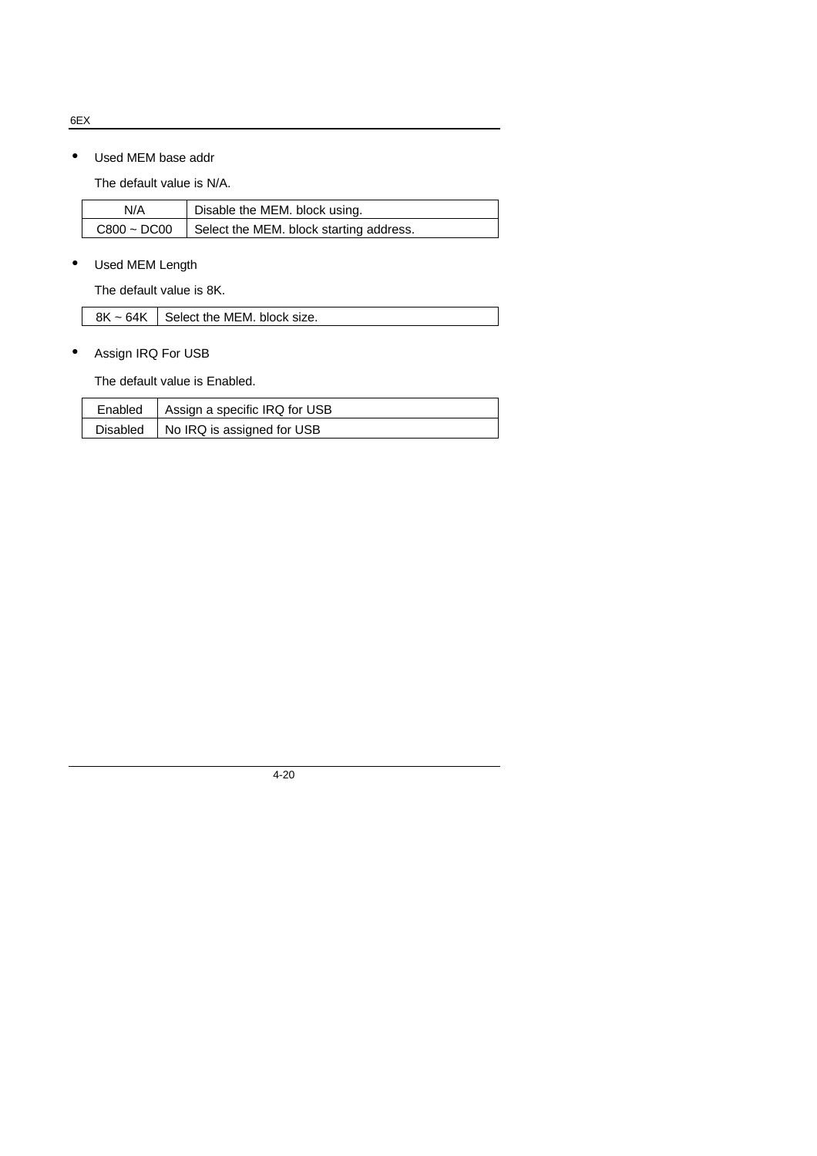6EX

• Used MEM base addr

The default value is N/A.

| N/A              | Disable the MEM. block using.           |
|------------------|-----------------------------------------|
| $C800 \sim DCO0$ | Select the MEM. block starting address. |

• Used MEM Length

The default value is 8K.

|  | $8K \sim 64K$ Select the MEM. block size. |
|--|-------------------------------------------|
|--|-------------------------------------------|

• Assign IRQ For USB

The default value is Enabled.

| Enabled   Assign a specific IRQ for USB |
|-----------------------------------------|
| Disabled   No IRQ is assigned for USB   |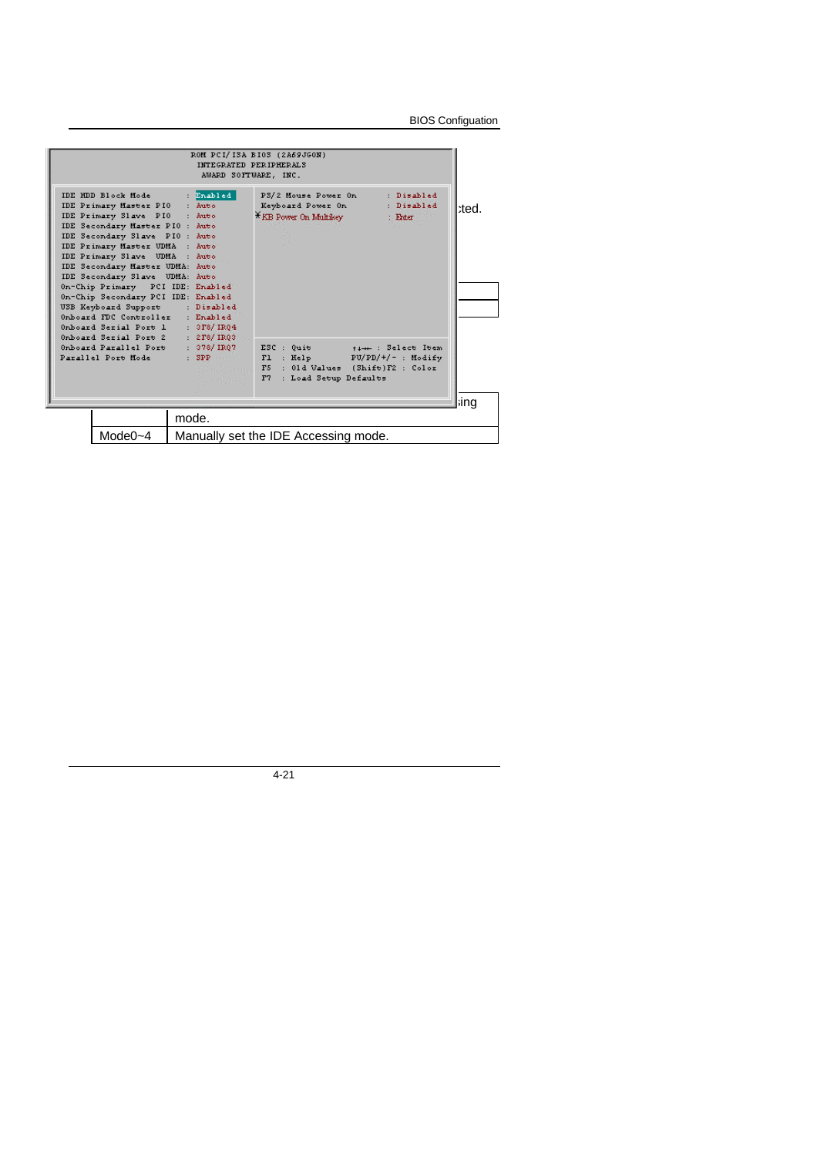BIOS Configuation

|                                                                                                                                                                                                                                                                                                                                                                                                                                                                                                                           | INTEGRATED PERIPHERALS<br>AWARD SOFTWARE, INC. | ROM PCI/ISA BIOS (2A69JGON)                                                                                                        |                                     |       |
|---------------------------------------------------------------------------------------------------------------------------------------------------------------------------------------------------------------------------------------------------------------------------------------------------------------------------------------------------------------------------------------------------------------------------------------------------------------------------------------------------------------------------|------------------------------------------------|------------------------------------------------------------------------------------------------------------------------------------|-------------------------------------|-------|
| IDE HDD Block Mode<br>IDE Primary Master PIO : Auto<br>IDE Primary Slave PIO : Auto<br>IDE Secondary Master PIO : Auto<br>IDE Secondary Slave PIO : Auto<br>IDE Primary Master UDMA : Auto<br>IDE Primary Slave UDMA : Auto<br>IDE Secondary Master UDMA: Auto<br>IDE Secondary Slave UDMA: Auto<br>On-Chip Primary PCI IDE: Enabled<br>On-Chip Secondary PCI IDE: Enabled<br>USB Keyboard Support : Disabled<br>Onboard FDC Controller : Enabled<br>Onboard Serial Port 1 : 3F8/IRQ4<br>Onboard Serial Port 2 : 2F8/IR03 | Enabled                                        | P3/2 Mouse Power On<br>Keyboard Power On<br>$\widetilde{\star}$ KB Power On Multikev                                               | : Disabled<br>: Disabled<br>: Enter | :ted. |
| Onboard Parallel Port : 378/IRQ7<br>Parallel Port Mode                                                                                                                                                                                                                                                                                                                                                                                                                                                                    | and Province                                   | ESC : Quit<br>: SPP And Fl : Help PU/PD/+/- : Modify<br>Minglewoods, F5 : 01d Values (Shift)F2 : Color<br>F7 : Load Setup Defaults | time: Select Item                   |       |
|                                                                                                                                                                                                                                                                                                                                                                                                                                                                                                                           | mode.                                          |                                                                                                                                    |                                     | ina   |
| Mode $0 - 4$                                                                                                                                                                                                                                                                                                                                                                                                                                                                                                              |                                                | Manually set the IDE Accessing mode.                                                                                               |                                     |       |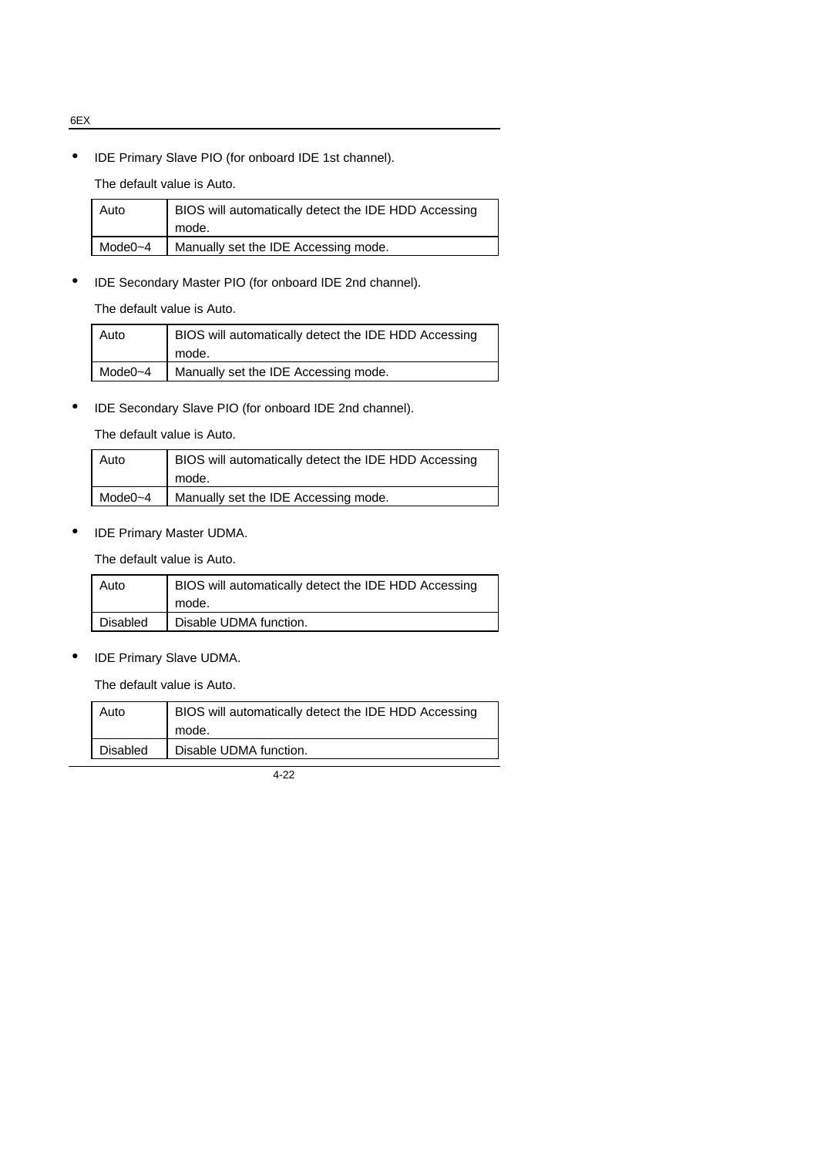• IDE Primary Slave PIO (for onboard IDE 1st channel).

The default value is Auto.

| Auto    | BIOS will automatically detect the IDE HDD Accessing |
|---------|------------------------------------------------------|
|         | mode.                                                |
| Mode0~4 | Manually set the IDE Accessing mode.                 |
|         |                                                      |

• IDE Secondary Master PIO (for onboard IDE 2nd channel).

The default value is Auto.

| Auto         | BIOS will automatically detect the IDE HDD Accessing<br>mode. |
|--------------|---------------------------------------------------------------|
| Mode $0 - 4$ | Manually set the IDE Accessing mode.                          |

• IDE Secondary Slave PIO (for onboard IDE 2nd channel).

The default value is Auto.

| Auto    | BIOS will automatically detect the IDE HDD Accessing<br>mode. |
|---------|---------------------------------------------------------------|
| Mode0~4 | Manually set the IDE Accessing mode.                          |

• IDE Primary Master UDMA.

The default value is Auto.

| Auto     | BIOS will automatically detect the IDE HDD Accessing |
|----------|------------------------------------------------------|
|          | mode.                                                |
| Disabled | Disable UDMA function.                               |

• IDE Primary Slave UDMA.

The default value is Auto.

| Auto            | BIOS will automatically detect the IDE HDD Accessing |
|-----------------|------------------------------------------------------|
|                 | mode.                                                |
| <b>Disabled</b> | Disable UDMA function.                               |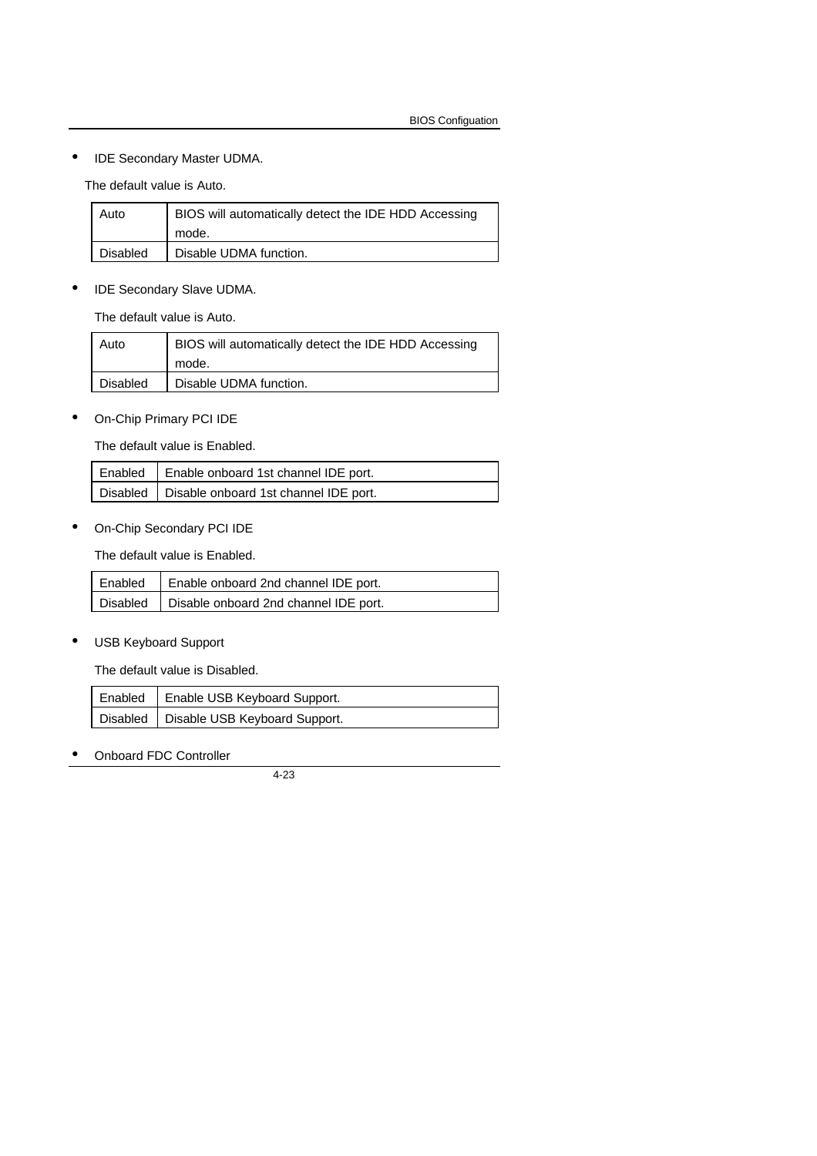## • IDE Secondary Master UDMA.

The default value is Auto.

| Auto            | BIOS will automatically detect the IDE HDD Accessing |
|-----------------|------------------------------------------------------|
|                 | mode.                                                |
| <b>Disabled</b> | Disable UDMA function.                               |

• IDE Secondary Slave UDMA.

The default value is Auto.

| Auto     | BIOS will automatically detect the IDE HDD Accessing |
|----------|------------------------------------------------------|
|          | mode.                                                |
| Disabled | Disable UDMA function.                               |

• On-Chip Primary PCI IDE

The default value is Enabled.

| Enabled   Enable onboard 1st channel IDE port.   |
|--------------------------------------------------|
| Disabled   Disable onboard 1st channel IDE port. |

• On-Chip Secondary PCI IDE

The default value is Enabled.

| Enabled   Enable onboard 2nd channel IDE port.   |
|--------------------------------------------------|
| Disabled   Disable onboard 2nd channel IDE port. |

• USB Keyboard Support

The default value is Disabled.

| Enabled   Enable USB Keyboard Support.   |
|------------------------------------------|
| Disabled   Disable USB Keyboard Support. |

• Onboard FDC Controller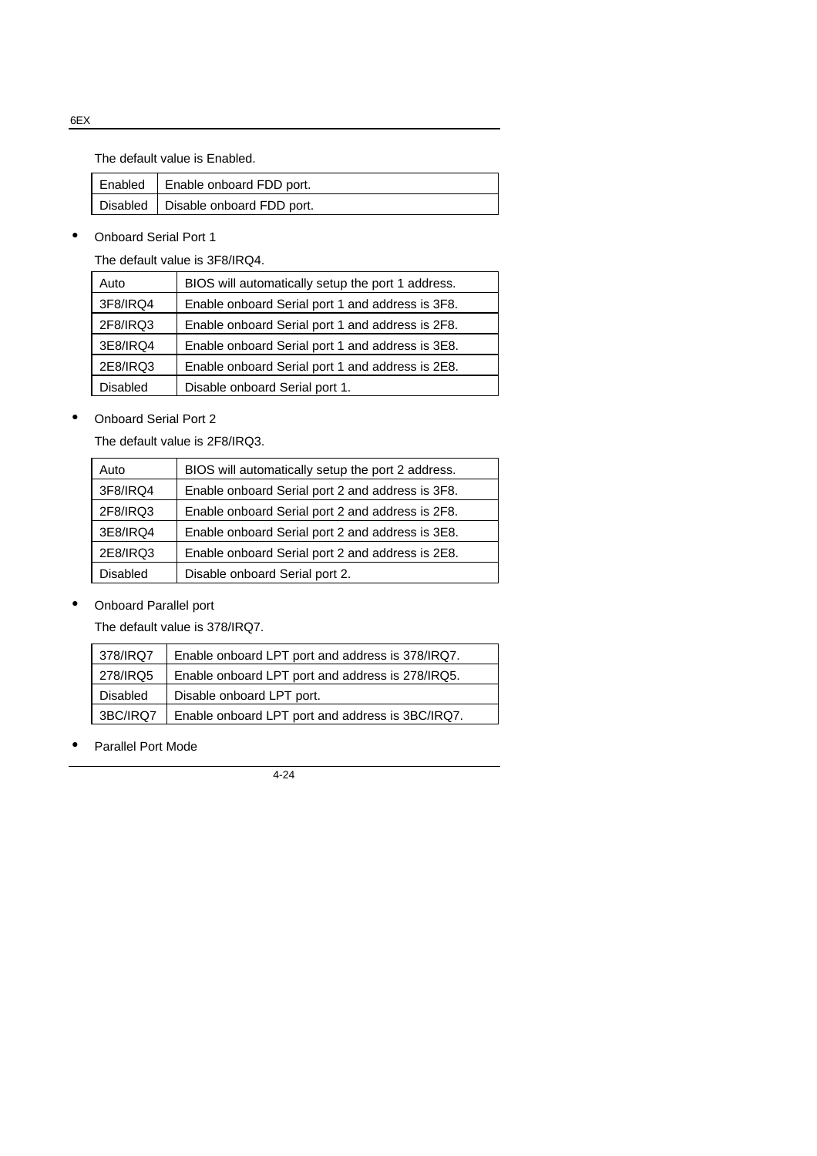The default value is Enabled.

| Enabled   Enable onboard FDD port.   |
|--------------------------------------|
| Disabled   Disable onboard FDD port. |

• Onboard Serial Port 1

The default value is 3F8/IRQ4.

| Auto     | BIOS will automatically setup the port 1 address. |
|----------|---------------------------------------------------|
| 3F8/IRQ4 | Enable onboard Serial port 1 and address is 3F8.  |
| 2F8/IRQ3 | Enable onboard Serial port 1 and address is 2F8.  |
| 3E8/IRQ4 | Enable onboard Serial port 1 and address is 3E8.  |
| 2E8/IRQ3 | Enable onboard Serial port 1 and address is 2E8.  |
| Disabled | Disable onboard Serial port 1.                    |

• Onboard Serial Port 2

The default value is 2F8/IRQ3.

| Auto            | BIOS will automatically setup the port 2 address. |
|-----------------|---------------------------------------------------|
| 3F8/IRQ4        | Enable onboard Serial port 2 and address is 3F8.  |
| 2F8/IRQ3        | Enable onboard Serial port 2 and address is 2F8.  |
| 3E8/IRQ4        | Enable onboard Serial port 2 and address is 3E8.  |
| 2E8/IRQ3        | Enable onboard Serial port 2 and address is 2E8.  |
| <b>Disabled</b> | Disable onboard Serial port 2.                    |

• Onboard Parallel port

The default value is 378/IRQ7.

| 378/IRQ7        | Enable onboard LPT port and address is 378/IRQ7. |
|-----------------|--------------------------------------------------|
| 278/IRQ5        | Enable onboard LPT port and address is 278/IRQ5. |
| <b>Disabled</b> | Disable onboard LPT port.                        |
| 3BC/IRQ7        | Enable onboard LPT port and address is 3BC/IRQ7. |

• Parallel Port Mode

4-24

6EX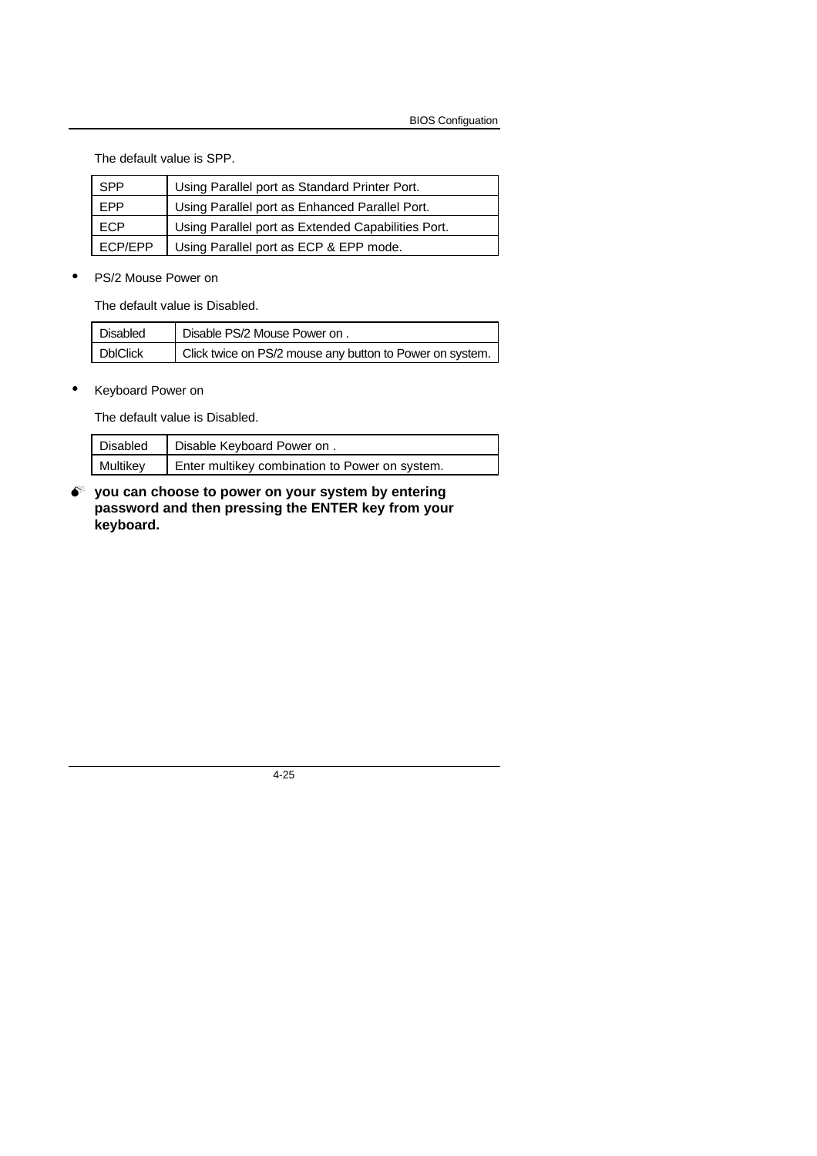The default value is SPP.

| <b>SPP</b>     | Using Parallel port as Standard Printer Port.      |
|----------------|----------------------------------------------------|
| <b>EPP</b>     | Using Parallel port as Enhanced Parallel Port.     |
| <b>ECP</b>     | Using Parallel port as Extended Capabilities Port. |
| <b>ECP/EPP</b> | Using Parallel port as ECP & EPP mode.             |

• PS/2 Mouse Power on

The default value is Disabled.

| Disabled        | Disable PS/2 Mouse Power on .                            |
|-----------------|----------------------------------------------------------|
| <b>DbIClick</b> | Click twice on PS/2 mouse any button to Power on system. |

• Keyboard Power on

The default value is Disabled.

| Disabled | Disable Keyboard Power on.                     |
|----------|------------------------------------------------|
| Multikey | Enter multikey combination to Power on system. |

 $\bullet^*$  you can choose to power on your system by entering **password and then pressing the ENTER key from your keyboard.**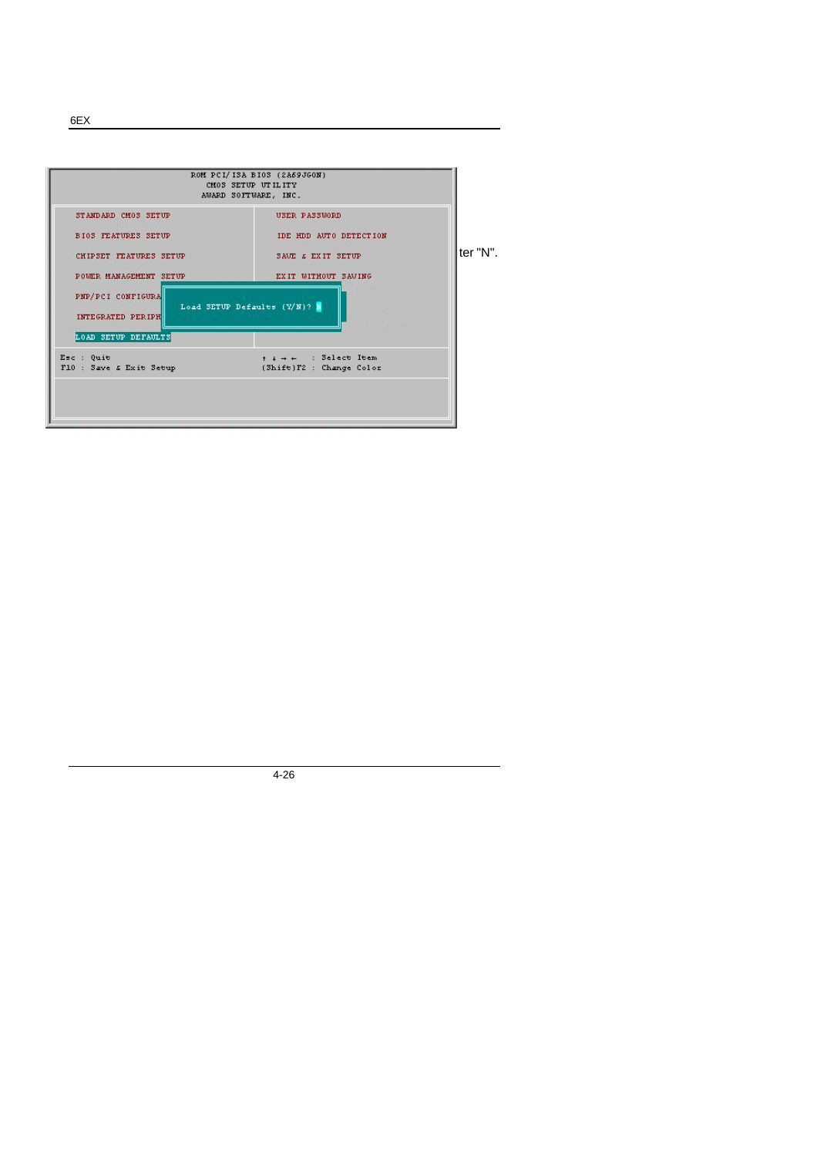**4.11. LOAD SETUP DEFAULTS**  $F_{\text{max}}$   $F_{\text{max}}$ \* STANDARD CMOS SETUP<br>BIOS FEATURES SETUP IDE HDD AUTO DETECTION CHIPSET FEATURES SETUP  $SANG \in EXIT$  SETUP defaults of  $\blacksquare$  If  $\blacksquare$  If  $\blacksquare$   $\blacksquare$ POWER MANAGEMENT SETUP  $EXIT$  WITHOUT SAVING PNP/PCI CONFIGURA Load SETUP Defaults (Y/N)?  $\overline{\mathbf{N}}$ INTEGRATED PERIPH LOAD SETUP DEFAULTS  $t + + +$  : Select Item<br>(Shift)F2 : Change Color Esc : Quit<br>  $F10$  : Save & Exit Setup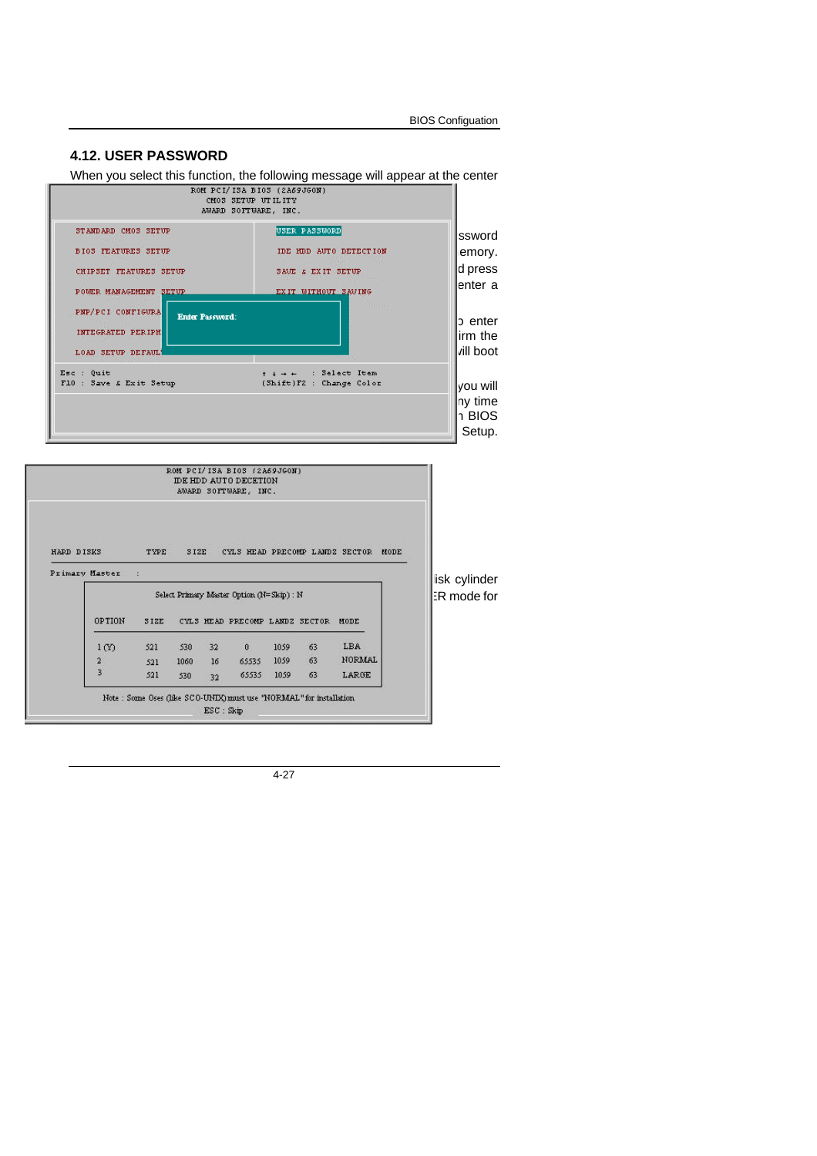|  | <b>BIOS Configuation</b> |
|--|--------------------------|
|--|--------------------------|

# **4.12. USER PASSWORD**

When you select this function, the following message will appear at the center

|                                                                                                       | ROM PCI/ISA BIOS (2A69JGON)<br>CM03 SETUP UTILITY<br>AWARD SOFTWARE, INC.                                                   |                                          |
|-------------------------------------------------------------------------------------------------------|-----------------------------------------------------------------------------------------------------------------------------|------------------------------------------|
| STANDARD CMOS SETUP<br><b>BIOS FEATURES SETUP</b><br>CHIPSET FEATURES SETUP<br>POWER MANAGEMENT SETUP | USER PASSWORD<br>IDE HDD AUTO DETECTION<br>a a shekara<br>SAVE $\boldsymbol{\varepsilon}$ EXIT SETUP<br>EXIT WITHOUT SAVING | ssword<br>emory.<br>d press<br>lenter a  |
| PNP/PCI CONFIGURA<br><b>Enter Password:</b><br>INTEGRATED PERIPH<br>LOAD SETUP DEFAUL!                | <b>January</b>                                                                                                              | c enter<br>lirm the<br>vill boot         |
| Esc : Quit<br>F10 : Save & Exit Setup                                                                 | $t + + +$ : Select Item<br>(Shift)F2 : Change Color                                                                         | lvou will<br>ny time<br>า BIOS<br>Setup. |

|                |                  |             |      |    | IDE HDD AUTO DECETION<br>AWARD SOFTWARE, INC. |      |    |                                |      |                   |
|----------------|------------------|-------------|------|----|-----------------------------------------------|------|----|--------------------------------|------|-------------------|
| HARD DISKS     |                  | TYPE        | SIZE |    |                                               |      |    | CYLS HEAD PRECOMP LANDZ SECTOR | MODE |                   |
|                |                  |             |      |    |                                               |      |    |                                |      |                   |
| Primary Master | 24               |             |      |    | Select Primary Master Option (N=Skip) : N     |      |    |                                |      | lisk cylinder     |
|                | <b>OPTION</b>    | <b>SIZE</b> |      |    | CYLS HEAD PRECOMP LANDZ SECTOR                |      |    | MODE                           |      |                   |
|                | 1 <sub>(V)</sub> | 521         | 530  | 32 | $\theta$                                      | 1059 | 63 | LBA                            |      |                   |
|                | 2                | 521         | 1060 | 16 | 65535                                         | 1059 | 63 | <b>NORMAL</b>                  |      | <b>R</b> mode for |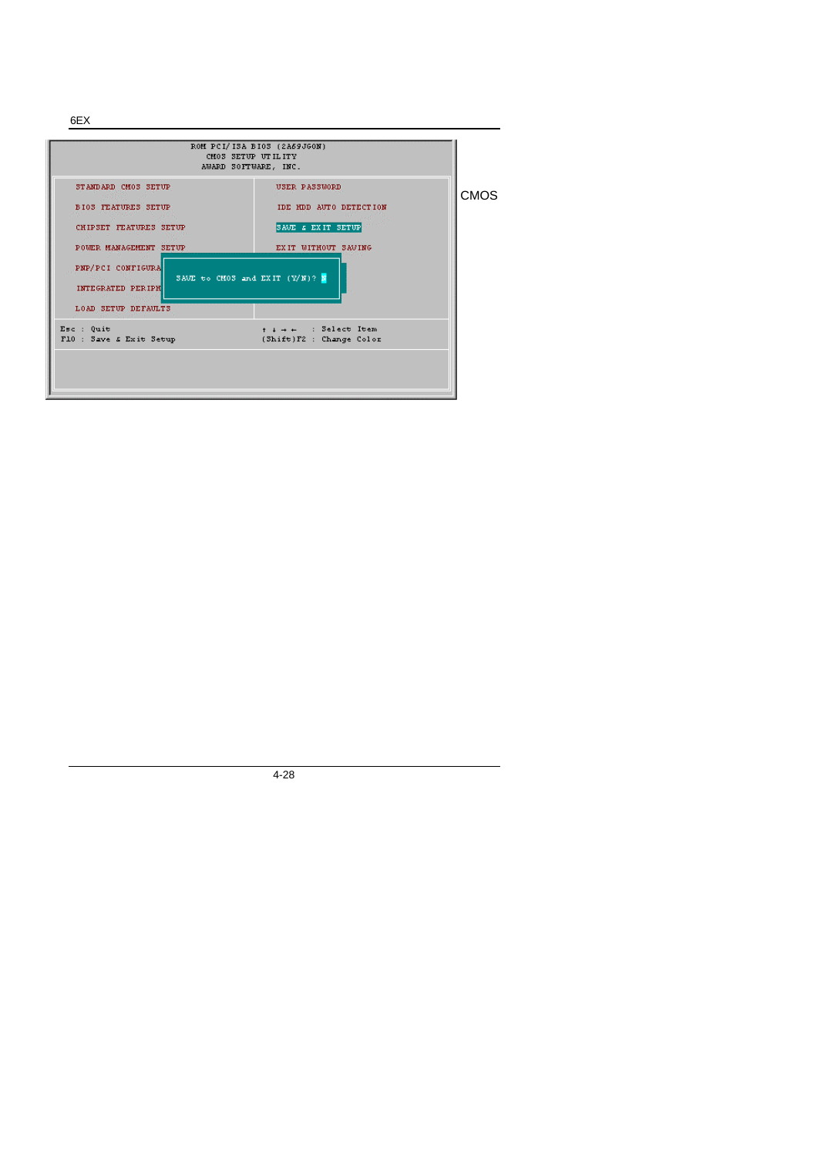6EX

|                                                                                                                                                                        | ROM PCI/ISA BIOS (2A69JGON)<br>CM03 SETUP UTILITY<br>AWARD SOFTWARE, INC.                                               |             |
|------------------------------------------------------------------------------------------------------------------------------------------------------------------------|-------------------------------------------------------------------------------------------------------------------------|-------------|
| STANDARD CM0S SETUP<br><b>BIOS FEATURES SETUP</b><br>CHIPSET FEATURES SETUP<br>POUER MANAGEMENT SETUP<br>PNP/PCI CONFIGURA<br>INTEGRATED PERIPH<br>LOAD SETUP DEFAULTS | USER PASSWORD<br>IDE HDD AUTO DETECTION<br>SAVE & EXIT SETUP<br>EXIT WITHOUT SAVING<br>SAVE to CM03 and EXIT $(Y/N)?$ N | <b>CMOS</b> |
| Esc : Quit<br>F10 : Save & Exit Setup                                                                                                                                  | $+ + + +$ : Select Item<br>(Shift)F2 : Change Color                                                                     |             |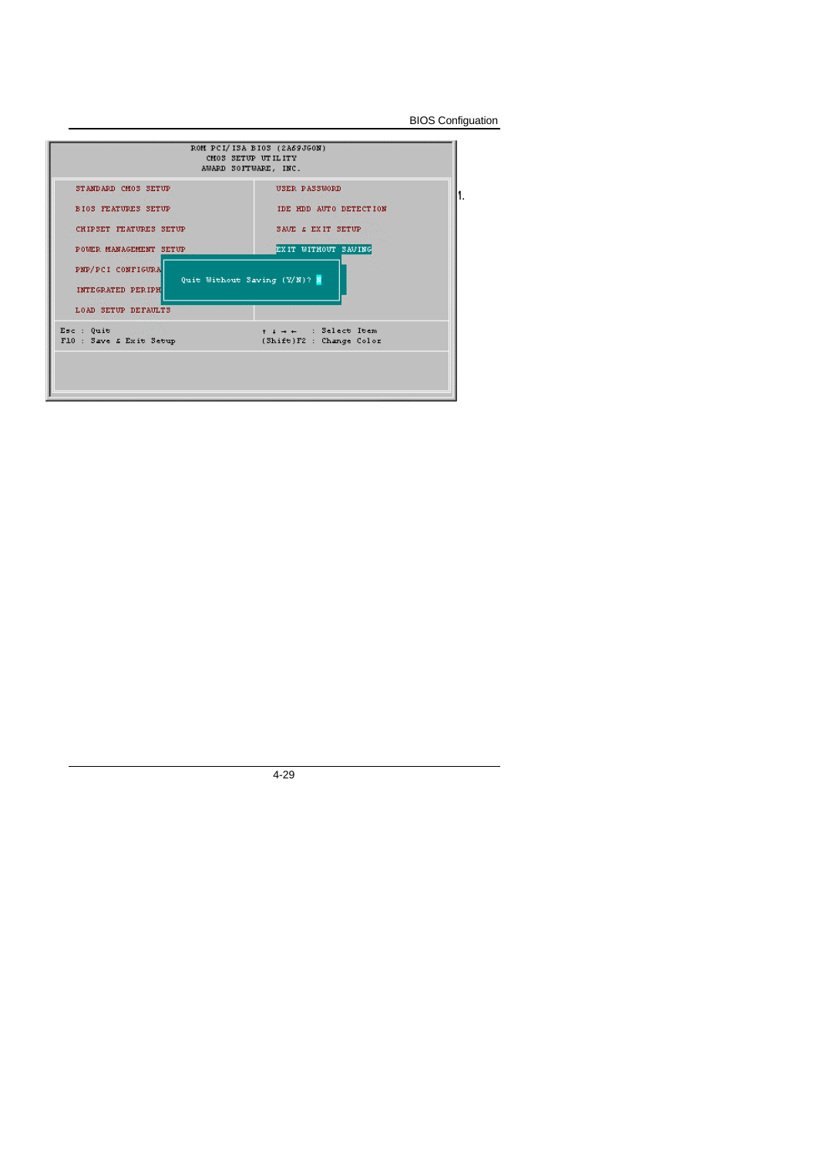BIOS Configuation

| STANDARD CMOS SETUP                                                                     | USER PASSWORD                                          |
|-----------------------------------------------------------------------------------------|--------------------------------------------------------|
| <b>BIOS FEATURES SETUP</b>                                                              | IDE HDD AUTO DETECTION                                 |
| 1986 - The Barth<br>CHIPSET FEATURES SETUP                                              | <b><i>Secretary Corp.</i></b><br>SAVE & EXIT SETUP     |
| POWER MANAGEMENT SETUP                                                                  | and Change of January Printers,<br>EXIT WITHOUT SAVING |
|                                                                                         |                                                        |
| PNP/PCI-CONFIGURA<br>INTEGRATED PERIPH<br><b>Contract Street</b><br>LOAD SETUP DEFAULTS | Quit Without Saving (Y/N)? N                           |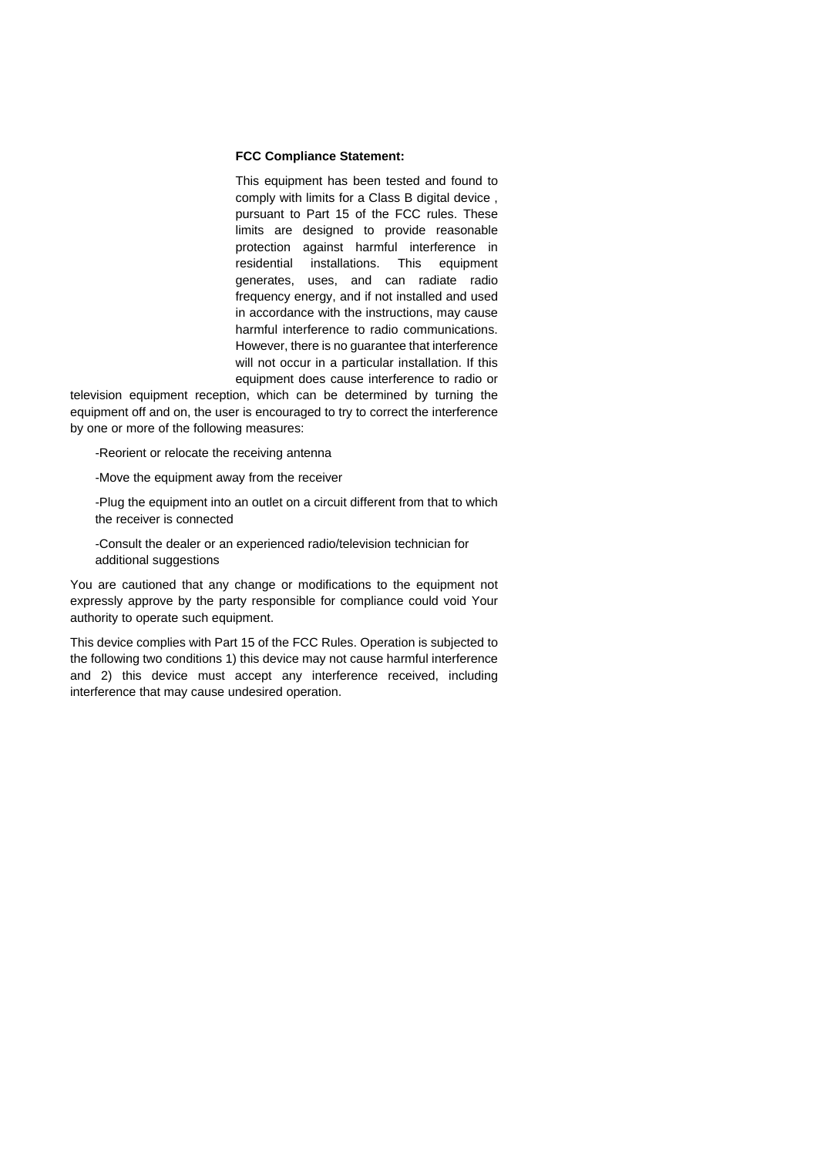#### **FCC Compliance Statement:**

This equipment has been tested and found to comply with limits for a Class B digital device , pursuant to Part 15 of the FCC rules. These limits are designed to provide reasonable protection against harmful interference in residential installations. This equipment generates, uses, and can radiate radio frequency energy, and if not installed and used in accordance with the instructions, may cause harmful interference to radio communications. However, there is no guarantee that interference will not occur in a particular installation. If this equipment does cause interference to radio or

television equipment reception, which can be determined by turning the equipment off and on, the user is encouraged to try to correct the interference by one or more of the following measures:

-Reorient or relocate the receiving antenna

-Move the equipment away from the receiver

-Plug the equipment into an outlet on a circuit different from that to which the receiver is connected

-Consult the dealer or an experienced radio/television technician for additional suggestions

You are cautioned that any change or modifications to the equipment not expressly approve by the party responsible for compliance could void Your authority to operate such equipment.

This device complies with Part 15 of the FCC Rules. Operation is subjected to the following two conditions 1) this device may not cause harmful interference and 2) this device must accept any interference received, including interference that may cause undesired operation.